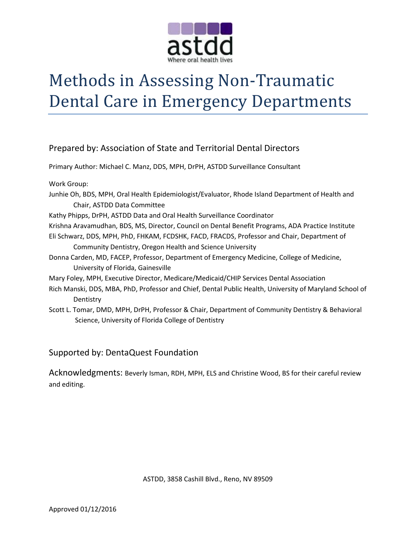

# Methods in Assessing Non-Traumatic Dental Care in Emergency Departments

Prepared by: Association of State and Territorial Dental Directors Primary Author: Michael C. Manz, DDS, MPH, DrPH, ASTDD Surveillance Consultant Work Group: Junhie Oh, BDS, MPH, Oral Health Epidemiologist/Evaluator, Rhode Island Department of Health and Chair, ASTDD Data Committee Kathy Phipps, DrPH, ASTDD Data and Oral Health Surveillance Coordinator Krishna Aravamudhan, BDS, MS, Director, Council on Dental Benefit Programs, ADA Practice Institute Eli Schwarz, DDS, MPH, PhD, FHKAM, FCDSHK, FACD, FRACDS, Professor and Chair, Department of Community Dentistry, Oregon Health and Science University Donna Carden, MD, FACEP, Professor, Department of Emergency Medicine, College of Medicine, University of Florida, Gainesville Mary Foley, MPH, Executive Director, Medicare/Medicaid/CHIP Services Dental Association Rich Manski, DDS, MBA, PhD, Professor and Chief, Dental Public Health, University of Maryland School of **Dentistry** Scott L. Tomar, DMD, MPH, DrPH, Professor & Chair, Department of Community Dentistry & Behavioral Science, University of Florida College of Dentistry

### Supported by: DentaQuest Foundation

Acknowledgments: Beverly Isman, RDH, MPH, ELS and Christine Wood, BS for their careful review and editing.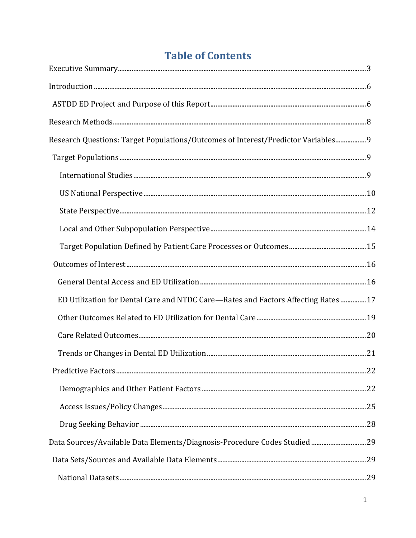# **Table of Contents**

| Research Questions: Target Populations/Outcomes of Interest/Predictor Variables 9  |  |
|------------------------------------------------------------------------------------|--|
|                                                                                    |  |
|                                                                                    |  |
|                                                                                    |  |
|                                                                                    |  |
|                                                                                    |  |
|                                                                                    |  |
|                                                                                    |  |
|                                                                                    |  |
| ED Utilization for Dental Care and NTDC Care-Rates and Factors Affecting Rates  17 |  |
|                                                                                    |  |
|                                                                                    |  |
|                                                                                    |  |
|                                                                                    |  |
|                                                                                    |  |
|                                                                                    |  |
|                                                                                    |  |
| Data Sources/Available Data Elements/Diagnosis-Procedure Codes Studied 29          |  |
|                                                                                    |  |
|                                                                                    |  |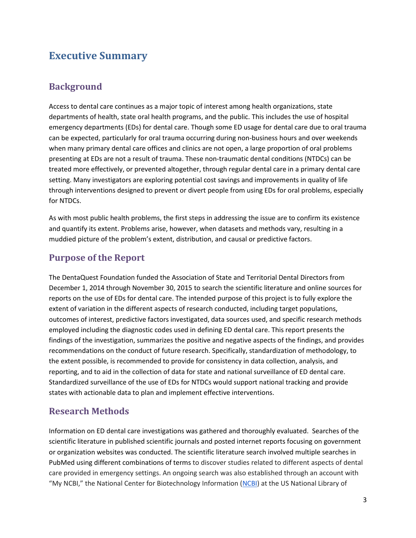# **Executive Summary**

# **Background**

Access to dental care continues as a major topic of interest among health organizations, state departments of health, state oral health programs, and the public. This includes the use of hospital emergency departments (EDs) for dental care. Though some ED usage for dental care due to oral trauma can be expected, particularly for oral trauma occurring during non-business hours and over weekends when many primary dental care offices and clinics are not open, a large proportion of oral problems presenting at EDs are not a result of trauma. These non-traumatic dental conditions (NTDCs) can be treated more effectively, or prevented altogether, through regular dental care in a primary dental care setting. Many investigators are exploring potential cost savings and improvements in quality of life through interventions designed to prevent or divert people from using EDs for oral problems, especially for NTDCs.

As with most public health problems, the first steps in addressing the issue are to confirm its existence and quantify its extent. Problems arise, however, when datasets and methods vary, resulting in a muddied picture of the problem's extent, distribution, and causal or predictive factors.

### **Purpose of the Report**

The DentaQuest Foundation funded the Association of State and Territorial Dental Directors from December 1, 2014 through November 30, 2015 to search the scientific literature and online sources for reports on the use of EDs for dental care. The intended purpose of this project is to fully explore the extent of variation in the different aspects of research conducted, including target populations, outcomes of interest, predictive factors investigated, data sources used, and specific research methods employed including the diagnostic codes used in defining ED dental care. This report presents the findings of the investigation, summarizes the positive and negative aspects of the findings, and provides recommendations on the conduct of future research. Specifically, standardization of methodology, to the extent possible, is recommended to provide for consistency in data collection, analysis, and reporting, and to aid in the collection of data for state and national surveillance of ED dental care. Standardized surveillance of the use of EDs for NTDCs would support national tracking and provide states with actionable data to plan and implement effective interventions.

### **Research Methods**

Information on ED dental care investigations was gathered and thoroughly evaluated. Searches of the scientific literature in published scientific journals and posted internet reports focusing on government or organization websites was conducted. The scientific literature search involved multiple searches in PubMed using different combinations of terms to discover studies related to different aspects of dental care provided in emergency settings. An ongoing search was also established through an account with "My NCBI," the National Center for Biotechnology Information ([NCBI\)](http://www.ncbi.nlm.nih.gov/) at the US National Library of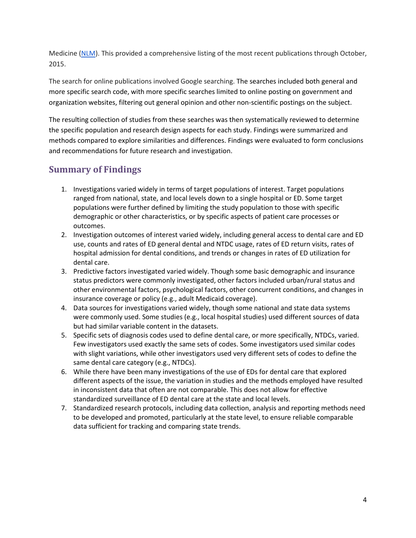Medicine [\(NLM\)](http://www.nlm.nih.gov/). This provided a comprehensive listing of the most recent publications through October, 2015.

The search for online publications involved Google searching. The searches included both general and more specific search code, with more specific searches limited to online posting on government and organization websites, filtering out general opinion and other non-scientific postings on the subject.

The resulting collection of studies from these searches was then systematically reviewed to determine the specific population and research design aspects for each study. Findings were summarized and methods compared to explore similarities and differences. Findings were evaluated to form conclusions and recommendations for future research and investigation.

## **Summary of Findings**

- 1. Investigations varied widely in terms of target populations of interest. Target populations ranged from national, state, and local levels down to a single hospital or ED. Some target populations were further defined by limiting the study population to those with specific demographic or other characteristics, or by specific aspects of patient care processes or outcomes.
- 2. Investigation outcomes of interest varied widely, including general access to dental care and ED use, counts and rates of ED general dental and NTDC usage, rates of ED return visits, rates of hospital admission for dental conditions, and trends or changes in rates of ED utilization for dental care.
- 3. Predictive factors investigated varied widely. Though some basic demographic and insurance status predictors were commonly investigated, other factors included urban/rural status and other environmental factors, psychological factors, other concurrent conditions, and changes in insurance coverage or policy (e.g., adult Medicaid coverage).
- 4. Data sources for investigations varied widely, though some national and state data systems were commonly used. Some studies (e.g., local hospital studies) used different sources of data but had similar variable content in the datasets.
- 5. Specific sets of diagnosis codes used to define dental care, or more specifically, NTDCs, varied. Few investigators used exactly the same sets of codes. Some investigators used similar codes with slight variations, while other investigators used very different sets of codes to define the same dental care category (e.g., NTDCs).
- 6. While there have been many investigations of the use of EDs for dental care that explored different aspects of the issue, the variation in studies and the methods employed have resulted in inconsistent data that often are not comparable. This does not allow for effective standardized surveillance of ED dental care at the state and local levels.
- 7. Standardized research protocols, including data collection, analysis and reporting methods need to be developed and promoted, particularly at the state level, to ensure reliable comparable data sufficient for tracking and comparing state trends.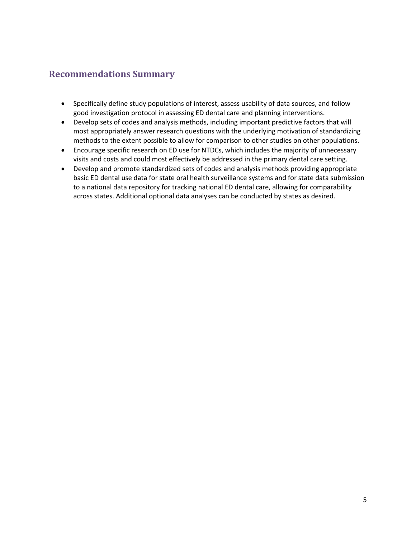## **Recommendations Summary**

- Specifically define study populations of interest, assess usability of data sources, and follow good investigation protocol in assessing ED dental care and planning interventions.
- Develop sets of codes and analysis methods, including important predictive factors that will most appropriately answer research questions with the underlying motivation of standardizing methods to the extent possible to allow for comparison to other studies on other populations.
- Encourage specific research on ED use for NTDCs, which includes the majority of unnecessary visits and costs and could most effectively be addressed in the primary dental care setting.
- Develop and promote standardized sets of codes and analysis methods providing appropriate basic ED dental use data for state oral health surveillance systems and for state data submission to a national data repository for tracking national ED dental care, allowing for comparability across states. Additional optional data analyses can be conducted by states as desired.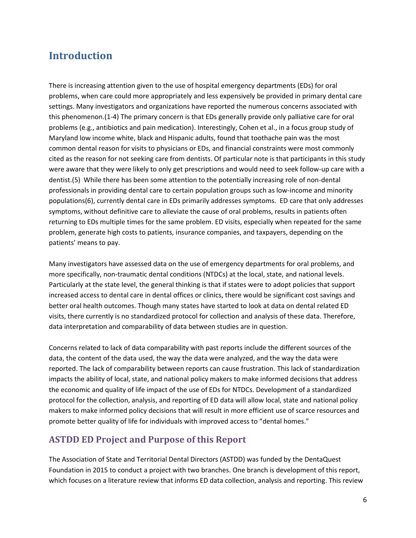# **Introduction**

There is increasing attention given to the use of hospital emergency departments (EDs) for oral problems, when care could more appropriately and less expensively be provided in primary dental care settings. Many investigators and organizations have reported the numerous concerns associated with this phenomenon.(1-4) The primary concern is that EDs generally provide only palliative care for oral problems (e.g., antibiotics and pain medication). Interestingly, Cohen et al., in a focus group study of Maryland low income white, black and Hispanic adults, found that toothache pain was the most common dental reason for visits to physicians or EDs, and financial constraints were most commonly cited as the reason for not seeking care from dentists. Of particular note is that participants in this study were aware that they were likely to only get prescriptions and would need to seek follow-up care with a dentist.(5) While there has been some attention to the potentially increasing role of non-dental professionals in providing dental care to certain population groups such as low-income and minority populations(6), currently dental care in EDs primarily addresses symptoms. ED care that only addresses symptoms, without definitive care to alleviate the cause of oral problems, results in patients often returning to EDs multiple times for the same problem. ED visits, especially when repeated for the same problem, generate high costs to patients, insurance companies, and taxpayers, depending on the patients' means to pay.

Many investigators have assessed data on the use of emergency departments for oral problems, and more specifically, non-traumatic dental conditions (NTDCs) at the local, state, and national levels. Particularly at the state level, the general thinking is that if states were to adopt policies that support increased access to dental care in dental offices or clinics, there would be significant cost savings and better oral health outcomes. Though many states have started to look at data on dental related ED visits, there currently is no standardized protocol for collection and analysis of these data. Therefore, data interpretation and comparability of data between studies are in question.

Concerns related to lack of data comparability with past reports include the different sources of the data, the content of the data used, the way the data were analyzed, and the way the data were reported. The lack of comparability between reports can cause frustration. This lack of standardization impacts the ability of local, state, and national policy makers to make informed decisions that address the economic and quality of life impact of the use of EDs for NTDCs. Development of a standardized protocol for the collection, analysis, and reporting of ED data will allow local, state and national policy makers to make informed policy decisions that will result in more efficient use of scarce resources and promote better quality of life for individuals with improved access to "dental homes."

### **ASTDD ED Project and Purpose of this Report**

The Association of State and Territorial Dental Directors (ASTDD) was funded by the DentaQuest Foundation in 2015 to conduct a project with two branches. One branch is development of this report, which focuses on a literature review that informs ED data collection, analysis and reporting. This review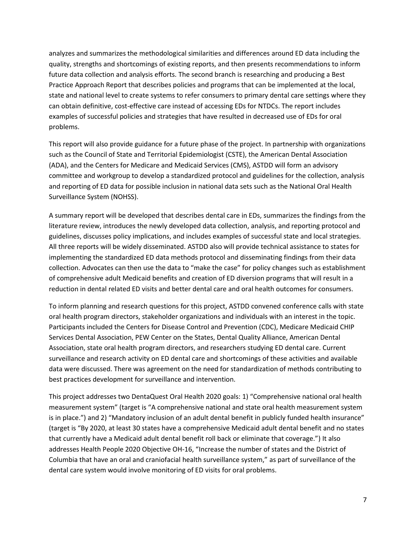analyzes and summarizes the methodological similarities and differences around ED data including the quality, strengths and shortcomings of existing reports, and then presents recommendations to inform future data collection and analysis efforts. The second branch is researching and producing a Best Practice Approach Report that describes policies and programs that can be implemented at the local, state and national level to create systems to refer consumers to primary dental care settings where they can obtain definitive, cost-effective care instead of accessing EDs for NTDCs. The report includes examples of successful policies and strategies that have resulted in decreased use of EDs for oral problems.

This report will also provide guidance for a future phase of the project. In partnership with organizations such as the Council of State and Territorial Epidemiologist (CSTE), the American Dental Association (ADA), and the Centers for Medicare and Medicaid Services (CMS), ASTDD will form an advisory committee and workgroup to develop a standardized protocol and guidelines for the collection, analysis and reporting of ED data for possible inclusion in national data sets such as the National Oral Health Surveillance System (NOHSS).

A summary report will be developed that describes dental care in EDs, summarizes the findings from the literature review, introduces the newly developed data collection, analysis, and reporting protocol and guidelines, discusses policy implications, and includes examples of successful state and local strategies. All three reports will be widely disseminated. ASTDD also will provide technical assistance to states for implementing the standardized ED data methods protocol and disseminating findings from their data collection. Advocates can then use the data to "make the case" for policy changes such as establishment of comprehensive adult Medicaid benefits and creation of ED diversion programs that will result in a reduction in dental related ED visits and better dental care and oral health outcomes for consumers.

To inform planning and research questions for this project, ASTDD convened conference calls with state oral health program directors, stakeholder organizations and individuals with an interest in the topic. Participants included the Centers for Disease Control and Prevention (CDC), Medicare Medicaid CHIP Services Dental Association, PEW Center on the States, Dental Quality Alliance, American Dental Association, state oral health program directors, and researchers studying ED dental care. Current surveillance and research activity on ED dental care and shortcomings of these activities and available data were discussed. There was agreement on the need for standardization of methods contributing to best practices development for surveillance and intervention.

This project addresses two DentaQuest Oral Health 2020 goals: 1) "Comprehensive national oral health measurement system" (target is "A comprehensive national and state oral health measurement system is in place.") and 2) "Mandatory inclusion of an adult dental benefit in publicly funded health insurance" (target is "By 2020, at least 30 states have a comprehensive Medicaid adult dental benefit and no states that currently have a Medicaid adult dental benefit roll back or eliminate that coverage.") It also addresses Health People 2020 Objective OH-16, "Increase the number of states and the District of Columbia that have an oral and craniofacial health surveillance system," as part of surveillance of the dental care system would involve monitoring of ED visits for oral problems.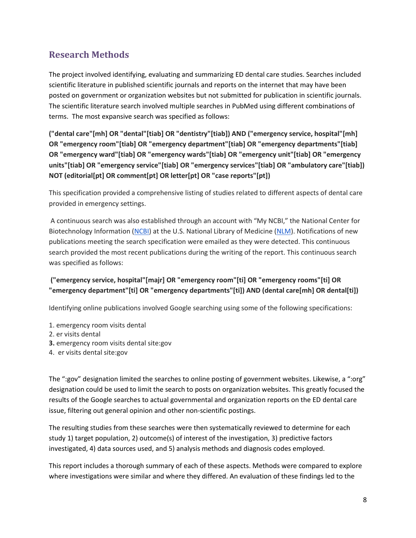# **Research Methods**

The project involved identifying, evaluating and summarizing ED dental care studies. Searches included scientific literature in published scientific journals and reports on the internet that may have been posted on government or organization websites but not submitted for publication in scientific journals. The scientific literature search involved multiple searches in PubMed using different combinations of terms. The most expansive search was specified as follows:

**("dental care"[mh] OR "dental"[tiab] OR "dentistry"[tiab]) AND ("emergency service, hospital"[mh] OR "emergency room"[tiab] OR "emergency department"[tiab] OR "emergency departments"[tiab] OR "emergency ward"[tiab] OR "emergency wards"[tiab] OR "emergency unit"[tiab] OR "emergency units"[tiab] OR "emergency service"[tiab] OR "emergency services"[tiab] OR "ambulatory care"[tiab]) NOT (editorial[pt] OR comment[pt] OR letter[pt] OR "case reports"[pt])**

This specification provided a comprehensive listing of studies related to different aspects of dental care provided in emergency settings.

A continuous search was also established through an account with "My NCBI," the National Center for Biotechnology Information [\(NCBI\)](http://www.ncbi.nlm.nih.gov/) at the U.S. National Library of Medicine [\(NLM\)](http://www.nlm.nih.gov/). Notifications of new publications meeting the search specification were emailed as they were detected. This continuous search provided the most recent publications during the writing of the report. This continuous search was specified as follows:

#### **("emergency service, hospital"[majr] OR "emergency room"[ti] OR "emergency rooms"[ti] OR "emergency department"[ti] OR "emergency departments"[ti]) AND (dental care[mh] OR dental[ti])**

Identifying online publications involved Google searching using some of the following specifications:

- 1. emergency room visits dental
- 2. er visits dental
- **3.** emergency room visits dental site:gov
- 4. er visits dental site:gov

The ":gov" designation limited the searches to online posting of government websites. Likewise, a ":org" designation could be used to limit the search to posts on organization websites. This greatly focused the results of the Google searches to actual governmental and organization reports on the ED dental care issue, filtering out general opinion and other non-scientific postings.

The resulting studies from these searches were then systematically reviewed to determine for each study 1) target population, 2) outcome(s) of interest of the investigation, 3) predictive factors investigated, 4) data sources used, and 5) analysis methods and diagnosis codes employed.

This report includes a thorough summary of each of these aspects. Methods were compared to explore where investigations were similar and where they differed. An evaluation of these findings led to the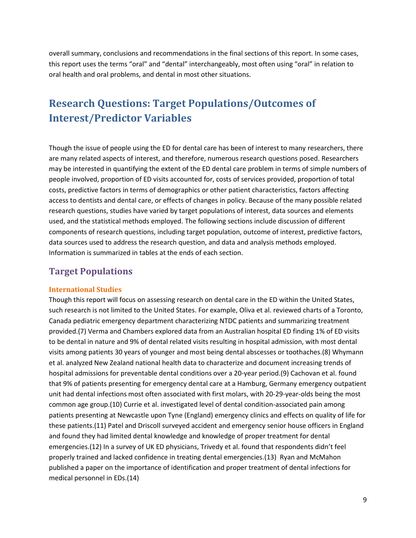overall summary, conclusions and recommendations in the final sections of this report. In some cases, this report uses the terms "oral" and "dental" interchangeably, most often using "oral" in relation to oral health and oral problems, and dental in most other situations.

# **Research Questions: Target Populations/Outcomes of Interest/Predictor Variables**

Though the issue of people using the ED for dental care has been of interest to many researchers, there are many related aspects of interest, and therefore, numerous research questions posed. Researchers may be interested in quantifying the extent of the ED dental care problem in terms of simple numbers of people involved, proportion of ED visits accounted for, costs of services provided, proportion of total costs, predictive factors in terms of demographics or other patient characteristics, factors affecting access to dentists and dental care, or effects of changes in policy. Because of the many possible related research questions, studies have varied by target populations of interest, data sources and elements used, and the statistical methods employed. The following sections include discussion of different components of research questions, including target population, outcome of interest, predictive factors, data sources used to address the research question, and data and analysis methods employed. Information is summarized in tables at the ends of each section.

### **Target Populations**

#### **International Studies**

Though this report will focus on assessing research on dental care in the ED within the United States, such research is not limited to the United States. For example, Oliva et al. reviewed charts of a Toronto, Canada pediatric emergency department characterizing NTDC patients and summarizing treatment provided.(7) Verma and Chambers explored data from an Australian hospital ED finding 1% of ED visits to be dental in nature and 9% of dental related visits resulting in hospital admission, with most dental visits among patients 30 years of younger and most being dental abscesses or toothaches.(8) Whymann et al. analyzed New Zealand national health data to characterize and document increasing trends of hospital admissions for preventable dental conditions over a 20-year period.(9) Cachovan et al. found that 9% of patients presenting for emergency dental care at a Hamburg, Germany emergency outpatient unit had dental infections most often associated with first molars, with 20-29-year-olds being the most common age group.(10) Currie et al. investigated level of dental condition-associated pain among patients presenting at Newcastle upon Tyne (England) emergency clinics and effects on quality of life for these patients.(11) Patel and Driscoll surveyed accident and emergency senior house officers in England and found they had limited dental knowledge and knowledge of proper treatment for dental emergencies.(12) In a survey of UK ED physicians, Trivedy et al. found that respondents didn't feel properly trained and lacked confidence in treating dental emergencies.(13) Ryan and McMahon published a paper on the importance of identification and proper treatment of dental infections for medical personnel in EDs.(14)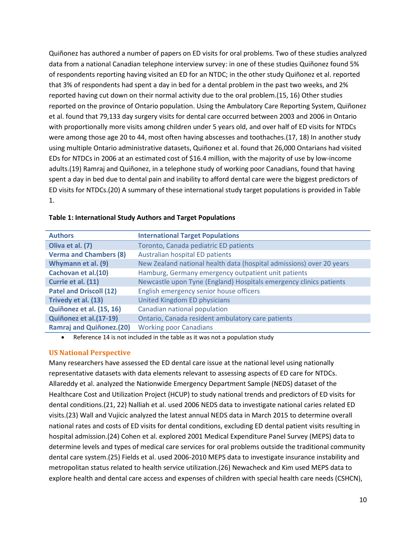Quiñonez has authored a number of papers on ED visits for oral problems. Two of these studies analyzed data from a national Canadian telephone interview survey: in one of these studies Quiñonez found 5% of respondents reporting having visited an ED for an NTDC; in the other study Quiñonez et al. reported that 3% of respondents had spent a day in bed for a dental problem in the past two weeks, and 2% reported having cut down on their normal activity due to the oral problem.(15, 16) Other studies reported on the province of Ontario population. Using the Ambulatory Care Reporting System, Quiñonez et al. found that 79,133 day surgery visits for dental care occurred between 2003 and 2006 in Ontario with proportionally more visits among children under 5 years old, and over half of ED visits for NTDCs were among those age 20 to 44, most often having abscesses and toothaches.(17, 18) In another study using multiple Ontario administrative datasets, Quiñonez et al. found that 26,000 Ontarians had visited EDs for NTDCs in 2006 at an estimated cost of \$16.4 million, with the majority of use by low-income adults.(19) Ramraj and Quiñonez, in a telephone study of working poor Canadians, found that having spent a day in bed due to dental pain and inability to afford dental care were the biggest predictors of ED visits for NTDCs.(20) A summary of these international study target populations is provided in Table 1.

| <b>Authors</b>                  | <b>International Target Populations</b>                              |
|---------------------------------|----------------------------------------------------------------------|
| Oliva et al. (7)                | Toronto, Canada pediatric ED patients                                |
| <b>Verma and Chambers (8)</b>   | Australian hospital ED patients                                      |
| Whymann et al. (9)              | New Zealand national health data (hospital admissions) over 20 years |
| Cachovan et al.(10)             | Hamburg, Germany emergency outpatient unit patients                  |
| Currie et al. (11)              | Newcastle upon Tyne (England) Hospitals emergency clinics patients   |
| <b>Patel and Driscoll (12)</b>  | English emergency senior house officers                              |
| Trivedy et al. (13)             | United Kingdom ED physicians                                         |
| Quiñonez et al. (15, 16)        | Canadian national population                                         |
| Quiñonez et al.(17-19)          | Ontario, Canada resident ambulatory care patients                    |
| <b>Ramraj and Quiñonez.(20)</b> | <b>Working poor Canadians</b>                                        |

#### **Table 1: International Study Authors and Target Populations**

Reference 14 is not included in the table as it was not a population study

#### **US National Perspective**

Many researchers have assessed the ED dental care issue at the national level using nationally representative datasets with data elements relevant to assessing aspects of ED care for NTDCs. Allareddy et al. analyzed the Nationwide Emergency Department Sample (NEDS) dataset of the Healthcare Cost and Utilization Project (HCUP) to study national trends and predictors of ED visits for dental conditions.(21, 22) Nalliah et al. used 2006 NEDS data to investigate national caries related ED visits.(23) Wall and Vujicic analyzed the latest annual NEDS data in March 2015 to determine overall national rates and costs of ED visits for dental conditions, excluding ED dental patient visits resulting in hospital admission.(24) Cohen et al. explored 2001 Medical Expenditure Panel Survey (MEPS) data to determine levels and types of medical care services for oral problems outside the traditional community dental care system.(25) Fields et al. used 2006-2010 MEPS data to investigate insurance instability and metropolitan status related to health service utilization.(26) Newacheck and Kim used MEPS data to explore health and dental care access and expenses of children with special health care needs (CSHCN),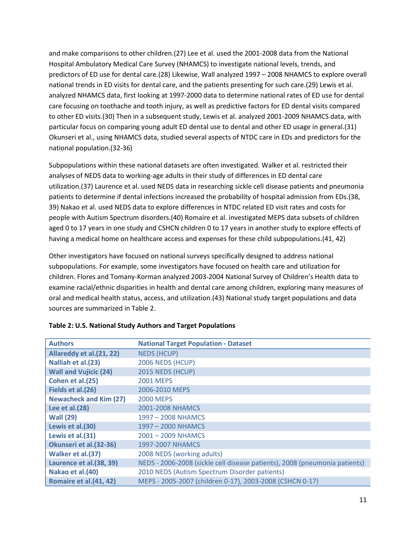and make comparisons to other children.(27) Lee et al. used the 2001-2008 data from the National Hospital Ambulatory Medical Care Survey (NHAMCS) to investigate national levels, trends, and predictors of ED use for dental care.(28) Likewise, Wall analyzed 1997 – 2008 NHAMCS to explore overall national trends in ED visits for dental care, and the patients presenting for such care.(29) Lewis et al. analyzed NHAMCS data, first looking at 1997-2000 data to determine national rates of ED use for dental care focusing on toothache and tooth injury, as well as predictive factors for ED dental visits compared to other ED visits.(30) Then in a subsequent study, Lewis et al. analyzed 2001-2009 NHAMCS data, with particular focus on comparing young adult ED dental use to dental and other ED usage in general.(31) Okunseri et al., using NHAMCS data, studied several aspects of NTDC care in EDs and predictors for the national population.(32-36)

Subpopulations within these national datasets are often investigated. Walker et al. restricted their analyses of NEDS data to working-age adults in their study of differences in ED dental care utilization.(37) Laurence et al. used NEDS data in researching sickle cell disease patients and pneumonia patients to determine if dental infections increased the probability of hospital admission from EDs.(38, 39) Nakao et al. used NEDS data to explore differences in NTDC related ED visit rates and costs for people with Autism Spectrum disorders.(40) Romaire et al. investigated MEPS data subsets of children aged 0 to 17 years in one study and CSHCN children 0 to 17 years in another study to explore effects of having a medical home on healthcare access and expenses for these child subpopulations.(41, 42)

Other investigators have focused on national surveys specifically designed to address national subpopulations. For example, some investigators have focused on health care and utilization for children. Flores and Tomany-Korman analyzed 2003-2004 National Survey of Children's Health data to examine racial/ethnic disparities in health and dental care among children, exploring many measures of oral and medical health status, access, and utilization.(43) National study target populations and data sources are summarized in Table 2.

| <b>Authors</b>                | <b>National Target Population - Dataset</b>                                |
|-------------------------------|----------------------------------------------------------------------------|
| Allareddy et al.(21, 22)      | <b>NEDS (HCUP)</b>                                                         |
| Nalliah et al.(23)            | 2006 NEDS (HCUP)                                                           |
| <b>Wall and Vujicic (24)</b>  | 2015 NEDS (HCUP)                                                           |
| Cohen et al.(25)              | <b>2001 MEPS</b>                                                           |
| Fields et al.(26)             | 2006-2010 MEPS                                                             |
| <b>Newacheck and Kim (27)</b> | <b>2000 MEPS</b>                                                           |
| Lee et al.(28)                | 2001-2008 NHAMCS                                                           |
| <b>Wall (29)</b>              | 1997 - 2008 NHAMCS                                                         |
| Lewis et al.(30)              | 1997 - 2000 NHAMCS                                                         |
| Lewis et al.(31)              | 2001 - 2009 NHAMCS                                                         |
| Okunseri et al.(32-36)        | 1997-2007 NHAMCS                                                           |
| Walker et al.(37)             | 2008 NEDS (working adults)                                                 |
| Laurence et al.(38, 39)       | NEDS - 2006-2008 (sickle cell disease patients), 2008 (pneumonia patients) |
| Nakao et al.(40)              | 2010 NEDS (Autism Spectrum Disorder patients)                              |
| Romaire et al.(41, 42)        | MEPS - 2005-2007 (children 0-17), 2003-2008 (CSHCN 0-17)                   |

#### **Table 2: U.S. National Study Authors and Target Populations**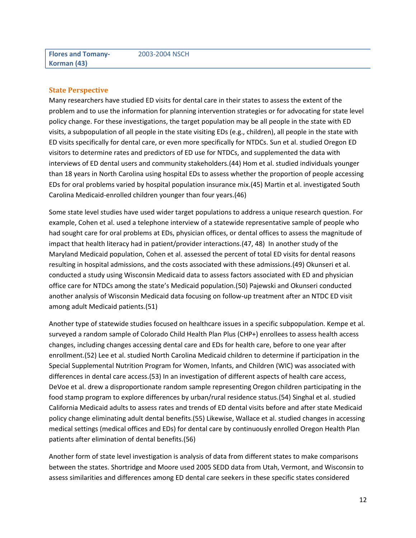#### **State Perspective**

Many researchers have studied ED visits for dental care in their states to assess the extent of the problem and to use the information for planning intervention strategies or for advocating for state level policy change. For these investigations, the target population may be all people in the state with ED visits, a subpopulation of all people in the state visiting EDs (e.g., children), all people in the state with ED visits specifically for dental care, or even more specifically for NTDCs. Sun et al. studied Oregon ED visitors to determine rates and predictors of ED use for NTDCs, and supplemented the data with interviews of ED dental users and community stakeholders.(44) Hom et al. studied individuals younger than 18 years in North Carolina using hospital EDs to assess whether the proportion of people accessing EDs for oral problems varied by hospital population insurance mix.(45) Martin et al. investigated South Carolina Medicaid-enrolled children younger than four years.(46)

Some state level studies have used wider target populations to address a unique research question. For example, Cohen et al. used a telephone interview of a statewide representative sample of people who had sought care for oral problems at EDs, physician offices, or dental offices to assess the magnitude of impact that health literacy had in patient/provider interactions.(47, 48) In another study of the Maryland Medicaid population, Cohen et al. assessed the percent of total ED visits for dental reasons resulting in hospital admissions, and the costs associated with these admissions.(49) Okunseri et al. conducted a study using Wisconsin Medicaid data to assess factors associated with ED and physician office care for NTDCs among the state's Medicaid population.(50) Pajewski and Okunseri conducted another analysis of Wisconsin Medicaid data focusing on follow-up treatment after an NTDC ED visit among adult Medicaid patients.(51)

Another type of statewide studies focused on healthcare issues in a specific subpopulation. Kempe et al. surveyed a random sample of Colorado Child Health Plan Plus (CHP+) enrollees to assess health access changes, including changes accessing dental care and EDs for health care, before to one year after enrollment.(52) Lee et al. studied North Carolina Medicaid children to determine if participation in the Special Supplemental Nutrition Program for Women, Infants, and Children (WIC) was associated with differences in dental care access.(53) In an investigation of different aspects of health care access, DeVoe et al. drew a disproportionate random sample representing Oregon children participating in the food stamp program to explore differences by urban/rural residence status.(54) Singhal et al. studied California Medicaid adults to assess rates and trends of ED dental visits before and after state Medicaid policy change eliminating adult dental benefits.(55) Likewise, Wallace et al. studied changes in accessing medical settings (medical offices and EDs) for dental care by continuously enrolled Oregon Health Plan patients after elimination of dental benefits.(56)

Another form of state level investigation is analysis of data from different states to make comparisons between the states. Shortridge and Moore used 2005 SEDD data from Utah, Vermont, and Wisconsin to assess similarities and differences among ED dental care seekers in these specific states considered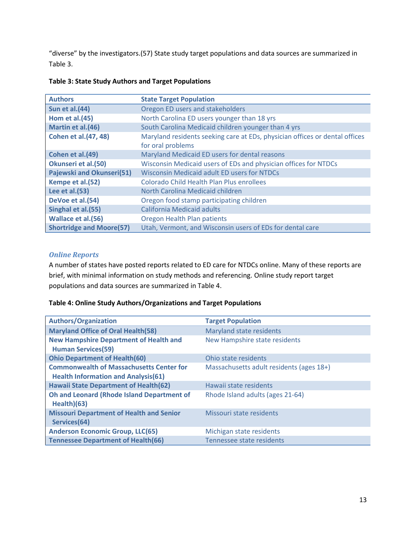"diverse" by the investigators.(57) State study target populations and data sources are summarized in Table 3.

| <b>Authors</b>                  | <b>State Target Population</b>                                                                   |
|---------------------------------|--------------------------------------------------------------------------------------------------|
| <b>Sun et al.(44)</b>           | Oregon ED users and stakeholders                                                                 |
| <b>Hom et al.(45)</b>           | North Carolina ED users younger than 18 yrs                                                      |
| Martin et al.(46)               | South Carolina Medicaid children younger than 4 yrs                                              |
| <b>Cohen et al. (47, 48)</b>    | Maryland residents seeking care at EDs, physician offices or dental offices<br>for oral problems |
| Cohen et al.(49)                | Maryland Medicaid ED users for dental reasons                                                    |
| Okunseri et al.(50)             | Wisconsin Medicaid users of EDs and physician offices for NTDCs                                  |
| Pajewski and Okunseri(51)       | <b>Wisconsin Medicaid adult ED users for NTDCs</b>                                               |
| Kempe et al.(52)                | Colorado Child Health Plan Plus enrollees                                                        |
| Lee et al.(53)                  | North Carolina Medicaid children                                                                 |
| DeVoe et al.(54)                | Oregon food stamp participating children                                                         |
| Singhal et al.(55)              | <b>California Medicaid adults</b>                                                                |
| Wallace et al.(56)              | Oregon Health Plan patients                                                                      |
| <b>Shortridge and Moore(57)</b> | Utah, Vermont, and Wisconsin users of EDs for dental care                                        |

#### **Table 3: State Study Authors and Target Populations**

#### *Online Reports*

A number of states have posted reports related to ED care for NTDCs online. Many of these reports are brief, with minimal information on study methods and referencing. Online study report target populations and data sources are summarized in Table 4.

#### **Table 4: Online Study Authors/Organizations and Target Populations**

| <b>Authors/Organization</b>                                                                   | <b>Target Population</b>                 |
|-----------------------------------------------------------------------------------------------|------------------------------------------|
| <b>Maryland Office of Oral Health(58)</b>                                                     | Maryland state residents                 |
| <b>New Hampshire Department of Health and</b><br><b>Human Services(59)</b>                    | New Hampshire state residents            |
| <b>Ohio Department of Health(60)</b>                                                          | Ohio state residents                     |
| <b>Commonwealth of Massachusetts Center for</b><br><b>Health Information and Analysis(61)</b> | Massachusetts adult residents (ages 18+) |
| <b>Hawaii State Department of Health(62)</b>                                                  | Hawaii state residents                   |
| <b>Oh and Leonard (Rhode Island Department of</b><br>Health)(63)                              | Rhode Island adults (ages 21-64)         |
| <b>Missouri Department of Health and Senior</b><br>Services(64)                               | Missouri state residents                 |
| <b>Anderson Economic Group, LLC(65)</b>                                                       | Michigan state residents                 |
| <b>Tennessee Department of Health(66)</b>                                                     | Tennessee state residents                |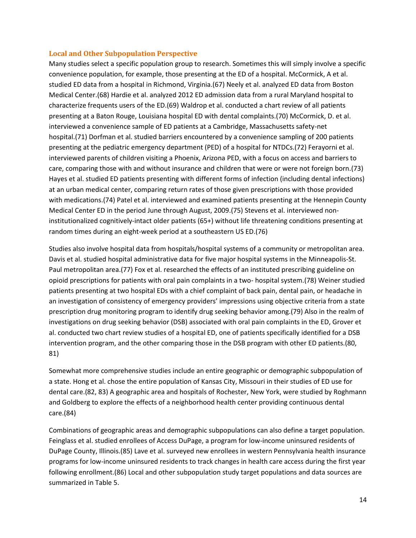#### **Local and Other Subpopulation Perspective**

Many studies select a specific population group to research. Sometimes this will simply involve a specific convenience population, for example, those presenting at the ED of a hospital. McCormick, A et al. studied ED data from a hospital in Richmond, Virginia.(67) Neely et al. analyzed ED data from Boston Medical Center.(68) Hardie et al. analyzed 2012 ED admission data from a rural Maryland hospital to characterize frequents users of the ED.(69) Waldrop et al. conducted a chart review of all patients presenting at a Baton Rouge, Louisiana hospital ED with dental complaints.(70) McCormick, D. et al. interviewed a convenience sample of ED patients at a Cambridge, Massachusetts safety-net hospital.(71) Dorfman et al. studied barriers encountered by a convenience sampling of 200 patients presenting at the pediatric emergency department (PED) of a hospital for NTDCs.(72) Ferayorni et al. interviewed parents of children visiting a Phoenix, Arizona PED, with a focus on access and barriers to care, comparing those with and without insurance and children that were or were not foreign born.(73) Hayes et al. studied ED patients presenting with different forms of infection (including dental infections) at an urban medical center, comparing return rates of those given prescriptions with those provided with medications.(74) Patel et al. interviewed and examined patients presenting at the Hennepin County Medical Center ED in the period June through August, 2009.(75) Stevens et al. interviewed noninstitutionalized cognitively-intact older patients (65+) without life threatening conditions presenting at random times during an eight-week period at a southeastern US ED.(76)

Studies also involve hospital data from hospitals/hospital systems of a community or metropolitan area. Davis et al. studied hospital administrative data for five major hospital systems in the Minneapolis-St. Paul metropolitan area.(77) Fox et al. researched the effects of an instituted prescribing guideline on opioid prescriptions for patients with oral pain complaints in a two- hospital system.(78) Weiner studied patients presenting at two hospital EDs with a chief complaint of back pain, dental pain, or headache in an investigation of consistency of emergency providers' impressions using objective criteria from a state prescription drug monitoring program to identify drug seeking behavior among.(79) Also in the realm of investigations on drug seeking behavior (DSB) associated with oral pain complaints in the ED, Grover et al. conducted two chart review studies of a hospital ED, one of patients specifically identified for a DSB intervention program, and the other comparing those in the DSB program with other ED patients.(80, 81)

Somewhat more comprehensive studies include an entire geographic or demographic subpopulation of a state. Hong et al. chose the entire population of Kansas City, Missouri in their studies of ED use for dental care.(82, 83) A geographic area and hospitals of Rochester, New York, were studied by Roghmann and Goldberg to explore the effects of a neighborhood health center providing continuous dental care.(84)

Combinations of geographic areas and demographic subpopulations can also define a target population. Feinglass et al. studied enrollees of Access DuPage, a program for low-income uninsured residents of DuPage County, Illinois.(85) Lave et al. surveyed new enrollees in western Pennsylvania health insurance programs for low-income uninsured residents to track changes in health care access during the first year following enrollment.(86) Local and other subpopulation study target populations and data sources are summarized in Table 5.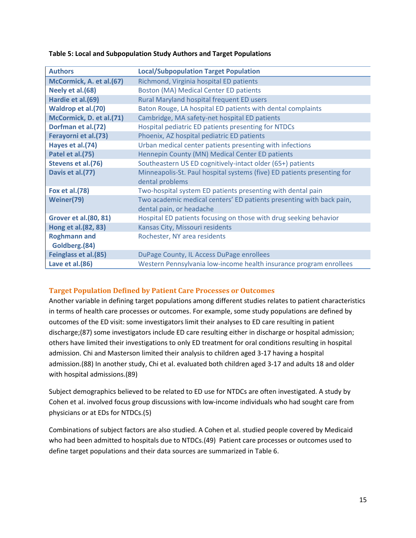| <b>Authors</b>                | <b>Local/Subpopulation Target Population</b>                            |
|-------------------------------|-------------------------------------------------------------------------|
| McCormick, A. et al.(67)      | Richmond, Virginia hospital ED patients                                 |
| Neely et al. (68)             | <b>Boston (MA) Medical Center ED patients</b>                           |
| Hardie et al.(69)             | Rural Maryland hospital frequent ED users                               |
| Waldrop et al.(70)            | Baton Rouge, LA hospital ED patients with dental complaints             |
| McCormick, D. et al.(71)      | Cambridge, MA safety-net hospital ED patients                           |
| Dorfman et al.(72)            | Hospital pediatric ED patients presenting for NTDCs                     |
| Ferayorni et al.(73)          | Phoenix, AZ hospital pediatric ED patients                              |
| Hayes et al.(74)              | Urban medical center patients presenting with infections                |
| Patel et al.(75)              | Hennepin County (MN) Medical Center ED patients                         |
| Stevens et al.(76)            | Southeastern US ED cognitively-intact older (65+) patients              |
| Davis et al.(77)              | Minneapolis-St. Paul hospital systems (five) ED patients presenting for |
|                               | dental problems                                                         |
| <b>Fox et al.(78)</b>         | Two-hospital system ED patients presenting with dental pain             |
| Weiner(79)                    | Two academic medical centers' ED patients presenting with back pain,    |
|                               | dental pain, or headache                                                |
| <b>Grover et al. (80, 81)</b> | Hospital ED patients focusing on those with drug seeking behavior       |
| Hong et al. (82, 83)          | Kansas City, Missouri residents                                         |
| <b>Roghmann and</b>           | Rochester, NY area residents                                            |
| Goldberg.(84)                 |                                                                         |
| Feinglass et al.(85)          | DuPage County, IL Access DuPage enrollees                               |
| Lave et al.(86)               | Western Pennsylvania low-income health insurance program enrollees      |

#### **Table 5: Local and Subpopulation Study Authors and Target Populations**

#### **Target Population Defined by Patient Care Processes or Outcomes**

Another variable in defining target populations among different studies relates to patient characteristics in terms of health care processes or outcomes. For example, some study populations are defined by outcomes of the ED visit: some investigators limit their analyses to ED care resulting in patient discharge;(87) some investigators include ED care resulting either in discharge or hospital admission; others have limited their investigations to only ED treatment for oral conditions resulting in hospital admission. Chi and Masterson limited their analysis to children aged 3-17 having a hospital admission.(88) In another study, Chi et al. evaluated both children aged 3-17 and adults 18 and older with hospital admissions.(89)

Subject demographics believed to be related to ED use for NTDCs are often investigated. A study by Cohen et al. involved focus group discussions with low-income individuals who had sought care from physicians or at EDs for NTDCs.(5)

Combinations of subject factors are also studied. A Cohen et al. studied people covered by Medicaid who had been admitted to hospitals due to NTDCs.(49) Patient care processes or outcomes used to define target populations and their data sources are summarized in Table 6.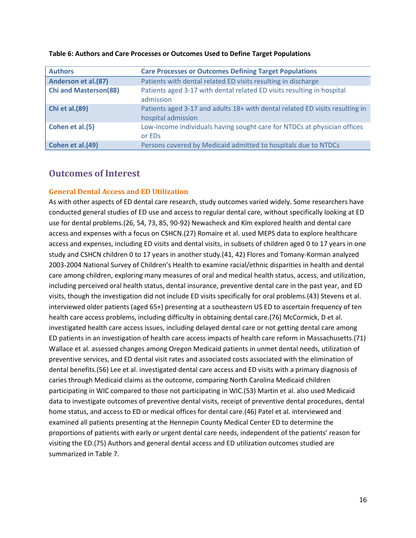| <b>Authors</b>               | <b>Care Processes or Outcomes Defining Target Populations</b>                                      |
|------------------------------|----------------------------------------------------------------------------------------------------|
| Anderson et al.(87)          | Patients with dental related ED visits resulting in discharge                                      |
| <b>Chi and Masterson(88)</b> | Patients aged 3-17 with dental related ED visits resulting in hospital<br>admission                |
| <b>Chi et al. (89)</b>       | Patients aged 3-17 and adults 18+ with dental related ED visits resulting in<br>hospital admission |
| Cohen et al.(5)              | Low-income individuals having sought care for NTDCs at physician offices<br>or EDs                 |
| Cohen et al.(49)             | Persons covered by Medicaid admitted to hospitals due to NTDCs                                     |

#### **Table 6: Authors and Care Processes or Outcomes Used to Define Target Populations**

#### **Outcomes of Interest**

#### **General Dental Access and ED Utilization**

As with other aspects of ED dental care research, study outcomes varied widely. Some researchers have conducted general studies of ED use and access to regular dental care, without specifically looking at ED use for dental problems.(26, 54, 73, 85, 90-92) Newacheck and Kim explored health and dental care access and expenses with a focus on CSHCN.(27) Romaire et al. used MEPS data to explore healthcare access and expenses, including ED visits and dental visits, in subsets of children aged 0 to 17 years in one study and CSHCN children 0 to 17 years in another study.(41, 42) Flores and Tomany-Korman analyzed 2003-2004 National Survey of Children's Health to examine racial/ethnic disparities in health and dental care among children, exploring many measures of oral and medical health status, access, and utilization, including perceived oral health status, dental insurance, preventive dental care in the past year, and ED visits, though the investigation did not include ED visits specifically for oral problems.(43) Stevens et al. interviewed older patients (aged 65+) presenting at a southeastern US ED to ascertain frequency of ten health care access problems, including difficulty in obtaining dental care.(76) McCormick, D et al. investigated health care access issues, including delayed dental care or not getting dental care among ED patients in an investigation of health care access impacts of health care reform in Massachusetts.(71) Wallace et al. assessed changes among Oregon Medicaid patients in unmet dental needs, utilization of preventive services, and ED dental visit rates and associated costs associated with the elimination of dental benefits.(56) Lee et al. investigated dental care access and ED visits with a primary diagnosis of caries through Medicaid claims as the outcome, comparing North Carolina Medicaid children participating in WIC compared to those not participating in WIC.(53) Martin et al. also used Medicaid data to investigate outcomes of preventive dental visits, receipt of preventive dental procedures, dental home status, and access to ED or medical offices for dental care.(46) Patel et al. interviewed and examined all patients presenting at the Hennepin County Medical Center ED to determine the proportions of patients with early or urgent dental care needs, independent of the patients' reason for visiting the ED.(75) Authors and general dental access and ED utilization outcomes studied are summarized in Table 7.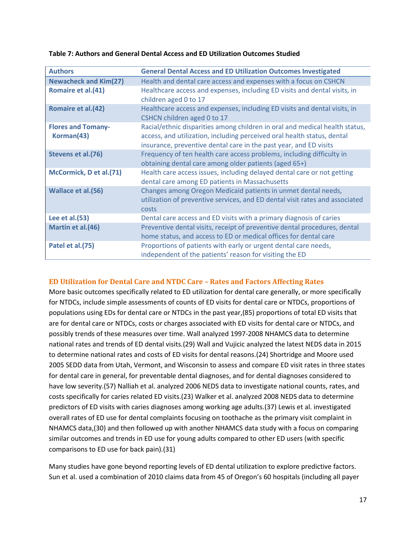| <b>Authors</b>                          | <b>General Dental Access and ED Utilization Outcomes Investigated</b>                                                                                                                                                       |
|-----------------------------------------|-----------------------------------------------------------------------------------------------------------------------------------------------------------------------------------------------------------------------------|
| <b>Newacheck and Kim(27)</b>            | Health and dental care access and expenses with a focus on CSHCN                                                                                                                                                            |
| Romaire et al.(41)                      | Healthcare access and expenses, including ED visits and dental visits, in<br>children aged 0 to 17                                                                                                                          |
| Romaire et al.(42)                      | Healthcare access and expenses, including ED visits and dental visits, in<br>CSHCN children aged 0 to 17                                                                                                                    |
| <b>Flores and Tomany-</b><br>Korman(43) | Racial/ethnic disparities among children in oral and medical health status,<br>access, and utilization, including perceived oral health status, dental<br>insurance, preventive dental care in the past year, and ED visits |
| Stevens et al.(76)                      | Frequency of ten health care access problems, including difficulty in<br>obtaining dental care among older patients (aged 65+)                                                                                              |
| McCormick, D et al.(71)                 | Health care access issues, including delayed dental care or not getting<br>dental care among ED patients in Massachusetts                                                                                                   |
| Wallace et al.(56)                      | Changes among Oregon Medicaid patients in unmet dental needs,<br>utilization of preventive services, and ED dental visit rates and associated<br>costs                                                                      |
| Lee et al.(53)                          | Dental care access and ED visits with a primary diagnosis of caries                                                                                                                                                         |
| Martin et al.(46)                       | Preventive dental visits, receipt of preventive dental procedures, dental<br>home status, and access to ED or medical offices for dental care                                                                               |
| Patel et al.(75)                        | Proportions of patients with early or urgent dental care needs,<br>independent of the patients' reason for visiting the ED                                                                                                  |

#### **Table 7: Authors and General Dental Access and ED Utilization Outcomes Studied**

#### **ED Utilization for Dental Care and NTDC Care – Rates and Factors Affecting Rates**

More basic outcomes specifically related to ED utilization for dental care generally, or more specifically for NTDCs, include simple assessments of counts of ED visits for dental care or NTDCs, proportions of populations using EDs for dental care or NTDCs in the past year,(85) proportions of total ED visits that are for dental care or NTDCs, costs or charges associated with ED visits for dental care or NTDCs, and possibly trends of these measures over time. Wall analyzed 1997-2008 NHAMCS data to determine national rates and trends of ED dental visits.(29) Wall and Vujicic analyzed the latest NEDS data in 2015 to determine national rates and costs of ED visits for dental reasons.(24) Shortridge and Moore used 2005 SEDD data from Utah, Vermont, and Wisconsin to assess and compare ED visit rates in three states for dental care in general, for preventable dental diagnoses, and for dental diagnoses considered to have low severity.(57) Nalliah et al. analyzed 2006 NEDS data to investigate national counts, rates, and costs specifically for caries related ED visits.(23) Walker et al. analyzed 2008 NEDS data to determine predictors of ED visits with caries diagnoses among working age adults.(37) Lewis et al. investigated overall rates of ED use for dental complaints focusing on toothache as the primary visit complaint in NHAMCS data,(30) and then followed up with another NHAMCS data study with a focus on comparing similar outcomes and trends in ED use for young adults compared to other ED users (with specific comparisons to ED use for back pain).(31)

Many studies have gone beyond reporting levels of ED dental utilization to explore predictive factors. Sun et al. used a combination of 2010 claims data from 45 of Oregon's 60 hospitals (including all payer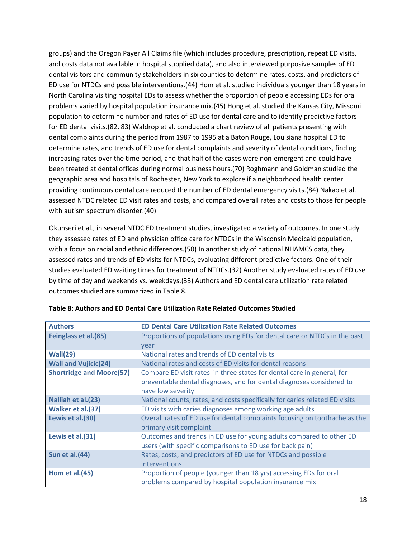groups) and the Oregon Payer All Claims file (which includes procedure, prescription, repeat ED visits, and costs data not available in hospital supplied data), and also interviewed purposive samples of ED dental visitors and community stakeholders in six counties to determine rates, costs, and predictors of ED use for NTDCs and possible interventions.(44) Hom et al. studied individuals younger than 18 years in North Carolina visiting hospital EDs to assess whether the proportion of people accessing EDs for oral problems varied by hospital population insurance mix.(45) Hong et al. studied the Kansas City, Missouri population to determine number and rates of ED use for dental care and to identify predictive factors for ED dental visits.(82, 83) Waldrop et al. conducted a chart review of all patients presenting with dental complaints during the period from 1987 to 1995 at a Baton Rouge, Louisiana hospital ED to determine rates, and trends of ED use for dental complaints and severity of dental conditions, finding increasing rates over the time period, and that half of the cases were non-emergent and could have been treated at dental offices during normal business hours.(70) Roghmann and Goldman studied the geographic area and hospitals of Rochester, New York to explore if a neighborhood health center providing continuous dental care reduced the number of ED dental emergency visits.(84) Nakao et al. assessed NTDC related ED visit rates and costs, and compared overall rates and costs to those for people with autism spectrum disorder.(40)

Okunseri et al., in several NTDC ED treatment studies, investigated a variety of outcomes. In one study they assessed rates of ED and physician office care for NTDCs in the Wisconsin Medicaid population, with a focus on racial and ethnic differences.(50) In another study of national NHAMCS data, they assessed rates and trends of ED visits for NTDCs, evaluating different predictive factors. One of their studies evaluated ED waiting times for treatment of NTDCs.(32) Another study evaluated rates of ED use by time of day and weekends vs. weekdays.(33) Authors and ED dental care utilization rate related outcomes studied are summarized in Table 8.

| <b>Authors</b>                  | <b>ED Dental Care Utilization Rate Related Outcomes</b>                                                                                                             |
|---------------------------------|---------------------------------------------------------------------------------------------------------------------------------------------------------------------|
| Feinglass et al.(85)            | Proportions of populations using EDs for dental care or NTDCs in the past                                                                                           |
|                                 | year                                                                                                                                                                |
| Wall(29)                        | National rates and trends of ED dental visits                                                                                                                       |
| <b>Wall and Vujicic(24)</b>     | National rates and costs of ED visits for dental reasons                                                                                                            |
| <b>Shortridge and Moore(57)</b> | Compare ED visit rates in three states for dental care in general, for<br>preventable dental diagnoses, and for dental diagnoses considered to<br>have low severity |
| Nalliah et al.(23)              | National counts, rates, and costs specifically for caries related ED visits                                                                                         |
| Walker et al.(37)               | ED visits with caries diagnoses among working age adults                                                                                                            |
| Lewis et al.(30)                | Overall rates of ED use for dental complaints focusing on toothache as the<br>primary visit complaint                                                               |
| Lewis et al.(31)                | Outcomes and trends in ED use for young adults compared to other ED<br>users (with specific comparisons to ED use for back pain)                                    |
| <b>Sun et al.(44)</b>           | Rates, costs, and predictors of ED use for NTDCs and possible<br>interventions                                                                                      |
| Hom et al.(45)                  | Proportion of people (younger than 18 yrs) accessing EDs for oral<br>problems compared by hospital population insurance mix                                         |

**Table 8: Authors and ED Dental Care Utilization Rate Related Outcomes Studied**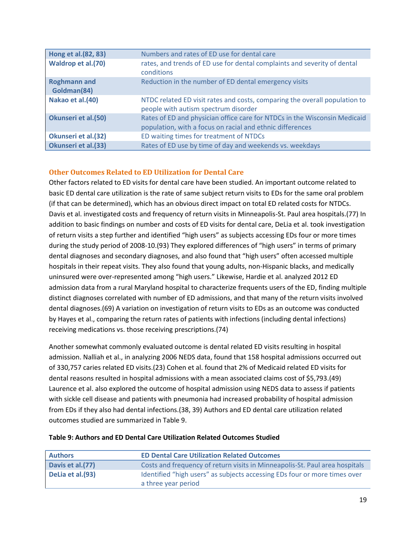| Hong et al. (82, 83)               | Numbers and rates of ED use for dental care                                                                                            |
|------------------------------------|----------------------------------------------------------------------------------------------------------------------------------------|
| Waldrop et al.(70)                 | rates, and trends of ED use for dental complaints and severity of dental<br>conditions                                                 |
| <b>Roghmann and</b><br>Goldman(84) | Reduction in the number of ED dental emergency visits                                                                                  |
| Nakao et al.(40)                   | NTDC related ED visit rates and costs, comparing the overall population to<br>people with autism spectrum disorder                     |
| <b>Okunseri et al.(50)</b>         | Rates of ED and physician office care for NTDCs in the Wisconsin Medicaid<br>population, with a focus on racial and ethnic differences |
| Okunseri et al.(32)                | ED waiting times for treatment of NTDCs                                                                                                |
| Okunseri et al.(33)                | Rates of ED use by time of day and weekends vs. weekdays                                                                               |

#### **Other Outcomes Related to ED Utilization for Dental Care**

Other factors related to ED visits for dental care have been studied. An important outcome related to basic ED dental care utilization is the rate of same subject return visits to EDs for the same oral problem (if that can be determined), which has an obvious direct impact on total ED related costs for NTDCs. Davis et al. investigated costs and frequency of return visits in Minneapolis-St. Paul area hospitals.(77) In addition to basic findings on number and costs of ED visits for dental care, DeLia et al. took investigation of return visits a step further and identified "high users" as subjects accessing EDs four or more times during the study period of 2008-10.(93) They explored differences of "high users" in terms of primary dental diagnoses and secondary diagnoses, and also found that "high users" often accessed multiple hospitals in their repeat visits. They also found that young adults, non-Hispanic blacks, and medically uninsured were over-represented among "high users." Likewise, Hardie et al. analyzed 2012 ED admission data from a rural Maryland hospital to characterize frequents users of the ED, finding multiple distinct diagnoses correlated with number of ED admissions, and that many of the return visits involved dental diagnoses.(69) A variation on investigation of return visits to EDs as an outcome was conducted by Hayes et al., comparing the return rates of patients with infections (including dental infections) receiving medications vs. those receiving prescriptions.(74)

Another somewhat commonly evaluated outcome is dental related ED visits resulting in hospital admission. Nalliah et al., in analyzing 2006 NEDS data, found that 158 hospital admissions occurred out of 330,757 caries related ED visits.(23) Cohen et al. found that 2% of Medicaid related ED visits for dental reasons resulted in hospital admissions with a mean associated claims cost of \$5,793.(49) Laurence et al. also explored the outcome of hospital admission using NEDS data to assess if patients with sickle cell disease and patients with pneumonia had increased probability of hospital admission from EDs if they also had dental infections.(38, 39) Authors and ED dental care utilization related outcomes studied are summarized in Table 9.

| <b>Authors</b>    | <b>ED Dental Care Utilization Related Outcomes</b>                                               |
|-------------------|--------------------------------------------------------------------------------------------------|
| Davis et al. (77) | Costs and frequency of return visits in Minneapolis-St. Paul area hospitals                      |
| DeLia et al.(93)  | Identified "high users" as subjects accessing EDs four or more times over<br>a three year period |

#### **Table 9: Authors and ED Dental Care Utilization Related Outcomes Studied**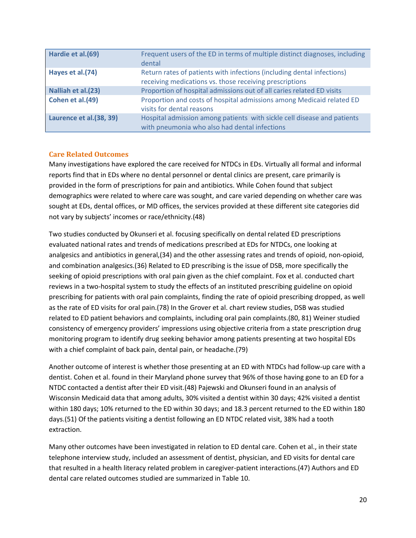| Hardie et al.(69)       | Frequent users of the ED in terms of multiple distinct diagnoses, including<br>dental                                             |
|-------------------------|-----------------------------------------------------------------------------------------------------------------------------------|
| Hayes et al.(74)        | Return rates of patients with infections (including dental infections)<br>receiving medications vs. those receiving prescriptions |
| Nalliah et al.(23)      | Proportion of hospital admissions out of all caries related ED visits                                                             |
| Cohen et al.(49)        | Proportion and costs of hospital admissions among Medicaid related ED<br>visits for dental reasons                                |
| Laurence et al.(38, 39) | Hospital admission among patients with sickle cell disease and patients<br>with pneumonia who also had dental infections          |

#### **Care Related Outcomes**

Many investigations have explored the care received for NTDCs in EDs. Virtually all formal and informal reports find that in EDs where no dental personnel or dental clinics are present, care primarily is provided in the form of prescriptions for pain and antibiotics. While Cohen found that subject demographics were related to where care was sought, and care varied depending on whether care was sought at EDs, dental offices, or MD offices, the services provided at these different site categories did not vary by subjects' incomes or race/ethnicity.(48)

Two studies conducted by Okunseri et al. focusing specifically on dental related ED prescriptions evaluated national rates and trends of medications prescribed at EDs for NTDCs, one looking at analgesics and antibiotics in general,(34) and the other assessing rates and trends of opioid, non-opioid, and combination analgesics.(36) Related to ED prescribing is the issue of DSB, more specifically the seeking of opioid prescriptions with oral pain given as the chief complaint. Fox et al. conducted chart reviews in a two-hospital system to study the effects of an instituted prescribing guideline on opioid prescribing for patients with oral pain complaints, finding the rate of opioid prescribing dropped, as well as the rate of ED visits for oral pain.(78) In the Grover et al. chart review studies, DSB was studied related to ED patient behaviors and complaints, including oral pain complaints.(80, 81) Weiner studied consistency of emergency providers' impressions using objective criteria from a state prescription drug monitoring program to identify drug seeking behavior among patients presenting at two hospital EDs with a chief complaint of back pain, dental pain, or headache.(79)

Another outcome of interest is whether those presenting at an ED with NTDCs had follow-up care with a dentist. Cohen et al. found in their Maryland phone survey that 96% of those having gone to an ED for a NTDC contacted a dentist after their ED visit.(48) Pajewski and Okunseri found in an analysis of Wisconsin Medicaid data that among adults, 30% visited a dentist within 30 days; 42% visited a dentist within 180 days; 10% returned to the ED within 30 days; and 18.3 percent returned to the ED within 180 days.(51) Of the patients visiting a dentist following an ED NTDC related visit, 38% had a tooth extraction.

Many other outcomes have been investigated in relation to ED dental care. Cohen et al., in their state telephone interview study, included an assessment of dentist, physician, and ED visits for dental care that resulted in a health literacy related problem in caregiver-patient interactions.(47) Authors and ED dental care related outcomes studied are summarized in Table 10.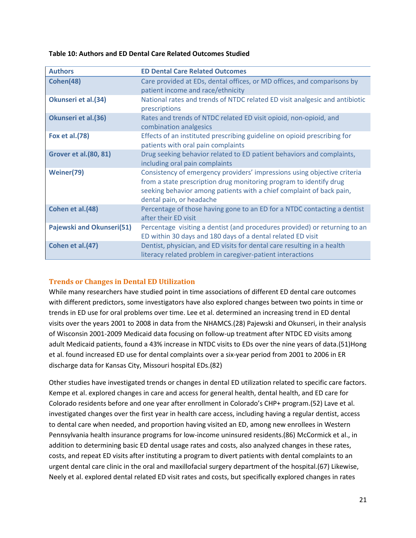**Table 10: Authors and ED Dental Care Related Outcomes Studied**

| <b>Authors</b>                | <b>ED Dental Care Related Outcomes</b>                                                                                                                                                                                                             |
|-------------------------------|----------------------------------------------------------------------------------------------------------------------------------------------------------------------------------------------------------------------------------------------------|
| Cohen(48)                     | Care provided at EDs, dental offices, or MD offices, and comparisons by<br>patient income and race/ethnicity                                                                                                                                       |
| Okunseri et al.(34)           | National rates and trends of NTDC related ED visit analgesic and antibiotic<br>prescriptions                                                                                                                                                       |
| Okunseri et al.(36)           | Rates and trends of NTDC related ED visit opioid, non-opioid, and<br>combination analgesics                                                                                                                                                        |
| Fox et al. (78)               | Effects of an instituted prescribing guideline on opioid prescribing for<br>patients with oral pain complaints                                                                                                                                     |
| <b>Grover et al. (80, 81)</b> | Drug seeking behavior related to ED patient behaviors and complaints,<br>including oral pain complaints                                                                                                                                            |
| Weiner(79)                    | Consistency of emergency providers' impressions using objective criteria<br>from a state prescription drug monitoring program to identify drug<br>seeking behavior among patients with a chief complaint of back pain,<br>dental pain, or headache |
| Cohen et al.(48)              | Percentage of those having gone to an ED for a NTDC contacting a dentist<br>after their ED visit                                                                                                                                                   |
| Pajewski and Okunseri(51)     | Percentage visiting a dentist (and procedures provided) or returning to an<br>ED within 30 days and 180 days of a dental related ED visit                                                                                                          |
| Cohen et al.(47)              | Dentist, physician, and ED visits for dental care resulting in a health<br>literacy related problem in caregiver-patient interactions                                                                                                              |

#### **Trends or Changes in Dental ED Utilization**

While many researchers have studied point in time associations of different ED dental care outcomes with different predictors, some investigators have also explored changes between two points in time or trends in ED use for oral problems over time. Lee et al. determined an increasing trend in ED dental visits over the years 2001 to 2008 in data from the NHAMCS.(28) Pajewski and Okunseri, in their analysis of Wisconsin 2001-2009 Medicaid data focusing on follow-up treatment after NTDC ED visits among adult Medicaid patients, found a 43% increase in NTDC visits to EDs over the nine years of data.(51)Hong et al. found increased ED use for dental complaints over a six-year period from 2001 to 2006 in ER discharge data for Kansas City, Missouri hospital EDs.(82)

Other studies have investigated trends or changes in dental ED utilization related to specific care factors. Kempe et al. explored changes in care and access for general health, dental health, and ED care for Colorado residents before and one year after enrollment in Colorado's CHP+ program.(52) Lave et al. investigated changes over the first year in health care access, including having a regular dentist, access to dental care when needed, and proportion having visited an ED, among new enrollees in Western Pennsylvania health insurance programs for low-income uninsured residents.(86) McCormick et al., in addition to determining basic ED dental usage rates and costs, also analyzed changes in these rates, costs, and repeat ED visits after instituting a program to divert patients with dental complaints to an urgent dental care clinic in the oral and maxillofacial surgery department of the hospital.(67) Likewise, Neely et al. explored dental related ED visit rates and costs, but specifically explored changes in rates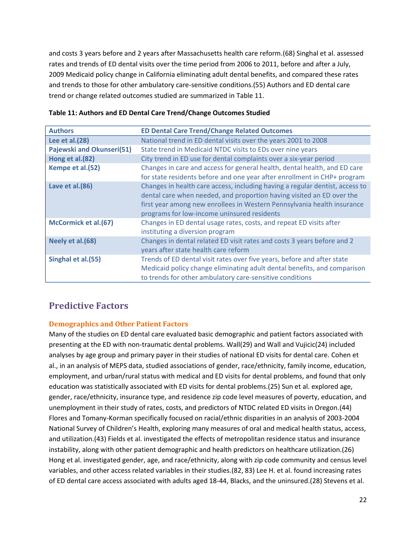and costs 3 years before and 2 years after Massachusetts health care reform.(68) Singhal et al. assessed rates and trends of ED dental visits over the time period from 2006 to 2011, before and after a July, 2009 Medicaid policy change in California eliminating adult dental benefits, and compared these rates and trends to those for other ambulatory care-sensitive conditions.(55) Authors and ED dental care trend or change related outcomes studied are summarized in Table 11.

| <b>Authors</b>            | <b>ED Dental Care Trend/Change Related Outcomes</b>                                                                                                                                                                                                                             |
|---------------------------|---------------------------------------------------------------------------------------------------------------------------------------------------------------------------------------------------------------------------------------------------------------------------------|
| Lee et al.(28)            | National trend in ED dental visits over the years 2001 to 2008                                                                                                                                                                                                                  |
| Pajewski and Okunseri(51) | State trend in Medicaid NTDC visits to EDs over nine years                                                                                                                                                                                                                      |
| Hong et al.(82)           | City trend in ED use for dental complaints over a six-year period                                                                                                                                                                                                               |
| Kempe et al.(52)          | Changes in care and access for general health, dental health, and ED care<br>for state residents before and one year after enrollment in CHP+ program                                                                                                                           |
| Lave et al.(86)           | Changes in health care access, including having a regular dentist, access to<br>dental care when needed, and proportion having visited an ED over the<br>first year among new enrollees in Western Pennsylvania health insurance<br>programs for low-income uninsured residents |
| McCormick et al.(67)      | Changes in ED dental usage rates, costs, and repeat ED visits after<br>instituting a diversion program                                                                                                                                                                          |
| Neely et al.(68)          | Changes in dental related ED visit rates and costs 3 years before and 2<br>years after state health care reform                                                                                                                                                                 |
| Singhal et al.(55)        | Trends of ED dental visit rates over five years, before and after state<br>Medicaid policy change eliminating adult dental benefits, and comparison<br>to trends for other ambulatory care-sensitive conditions                                                                 |

#### **Table 11: Authors and ED Dental Care Trend/Change Outcomes Studied**

### **Predictive Factors**

#### **Demographics and Other Patient Factors**

Many of the studies on ED dental care evaluated basic demographic and patient factors associated with presenting at the ED with non-traumatic dental problems. Wall(29) and Wall and Vujicic(24) included analyses by age group and primary payer in their studies of national ED visits for dental care. Cohen et al., in an analysis of MEPS data, studied associations of gender, race/ethnicity, family income, education, employment, and urban/rural status with medical and ED visits for dental problems, and found that only education was statistically associated with ED visits for dental problems.(25) Sun et al. explored age, gender, race/ethnicity, insurance type, and residence zip code level measures of poverty, education, and unemployment in their study of rates, costs, and predictors of NTDC related ED visits in Oregon.(44) Flores and Tomany-Korman specifically focused on racial/ethnic disparities in an analysis of 2003-2004 National Survey of Children's Health, exploring many measures of oral and medical health status, access, and utilization.(43) Fields et al. investigated the effects of metropolitan residence status and insurance instability, along with other patient demographic and health predictors on healthcare utilization.(26) Hong et al. investigated gender, age, and race/ethnicity, along with zip code community and census level variables, and other access related variables in their studies.(82, 83) Lee H. et al. found increasing rates of ED dental care access associated with adults aged 18-44, Blacks, and the uninsured.(28) Stevens et al.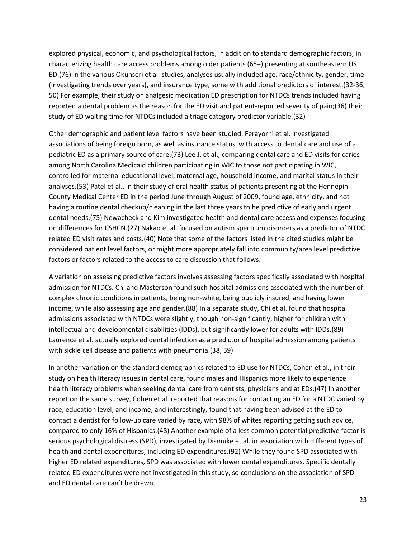explored physical, economic, and psychological factors, in addition to standard demographic factors, in characterizing health care access problems among older patients (65+) presenting at southeastern US ED.(76) In the various Okunseri et al. studies, analyses usually included age, race/ethnicity, gender, time (investigating trends over years), and insurance type, some with additional predictors of interest.(32-36, 50) For example, their study on analgesic medication ED prescription for NTDCs trends included having reported a dental problem as the reason for the ED visit and patient-reported severity of pain;(36) their study of ED waiting time for NTDCs included a triage category predictor variable.(32)

Other demographic and patient level factors have been studied. Ferayorni et al. investigated associations of being foreign born, as well as insurance status, with access to dental care and use of a pediatric ED as a primary source of care.(73) Lee J. et al., comparing dental care and ED visits for caries among North Carolina Medicaid children participating in WIC to those not participating in WIC, controlled for maternal educational level, maternal age, household income, and marital status in their analyses.(53) Patel et al., in their study of oral health status of patients presenting at the Hennepin County Medical Center ED in the period June through August of 2009, found age, ethnicity, and not having a routine dental checkup/cleaning in the last three years to be predictive of early and urgent dental needs.(75) Newacheck and Kim investigated health and dental care access and expenses focusing on differences for CSHCN.(27) Nakao et al. focused on autism spectrum disorders as a predictor of NTDC related ED visit rates and costs.(40) Note that some of the factors listed in the cited studies might be considered patient level factors, or might more appropriately fall into community/area level predictive factors or factors related to the access to care discussion that follows.

A variation on assessing predictive factors involves assessing factors specifically associated with hospital admission for NTDCs. Chi and Masterson found such hospital admissions associated with the number of complex chronic conditions in patients, being non-white, being publicly insured, and having lower income, while also assessing age and gender.(88) In a separate study, Chi et al. found that hospital admissions associated with NTDCs were slightly, though non-significantly, higher for children with intellectual and developmental disabilities (IDDs), but significantly lower for adults with IDDs.(89) Laurence et al. actually explored dental infection as a predictor of hospital admission among patients with sickle cell disease and patients with pneumonia.(38, 39)

In another variation on the standard demographics related to ED use for NTDCs, Cohen et al., in their study on health literacy issues in dental care, found males and Hispanics more likely to experience health literacy problems when seeking dental care from dentists, physicians and at EDs.(47) In another report on the same survey, Cohen et al. reported that reasons for contacting an ED for a NTDC varied by race, education level, and income, and interestingly, found that having been advised at the ED to contact a dentist for follow-up care varied by race, with 98% of whites reporting getting such advice, compared to only 16% of Hispanics.(48) Another example of a less common potential predictive factor is serious psychological distress (SPD), investigated by Dismuke et al. in association with different types of health and dental expenditures, including ED expenditures.(92) While they found SPD associated with higher ED related expenditures, SPD was associated with lower dental expenditures. Specific dentally related ED expenditures were not investigated in this study, so conclusions on the association of SPD and ED dental care can't be drawn.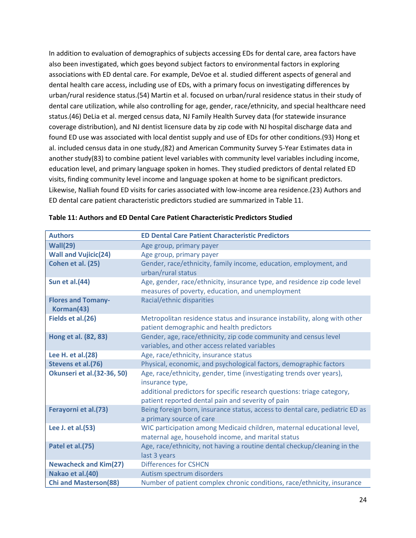In addition to evaluation of demographics of subjects accessing EDs for dental care, area factors have also been investigated, which goes beyond subject factors to environmental factors in exploring associations with ED dental care. For example, DeVoe et al. studied different aspects of general and dental health care access, including use of EDs, with a primary focus on investigating differences by urban/rural residence status.(54) Martin et al. focused on urban/rural residence status in their study of dental care utilization, while also controlling for age, gender, race/ethnicity, and special healthcare need status.(46) DeLia et al. merged census data, NJ Family Health Survey data (for statewide insurance coverage distribution), and NJ dentist licensure data by zip code with NJ hospital discharge data and found ED use was associated with local dentist supply and use of EDs for other conditions.(93) Hong et al. included census data in one study,(82) and American Community Survey 5-Year Estimates data in another study(83) to combine patient level variables with community level variables including income, education level, and primary language spoken in homes. They studied predictors of dental related ED visits, finding community level income and language spoken at home to be significant predictors. Likewise, Nalliah found ED visits for caries associated with low-income area residence.(23) Authors and ED dental care patient characteristic predictors studied are summarized in Table 11.

| <b>Authors</b>                          | <b>ED Dental Care Patient Characteristic Predictors</b>                                                                                                                                                                 |
|-----------------------------------------|-------------------------------------------------------------------------------------------------------------------------------------------------------------------------------------------------------------------------|
| Wall(29)                                | Age group, primary payer                                                                                                                                                                                                |
| <b>Wall and Vujicic(24)</b>             | Age group, primary payer                                                                                                                                                                                                |
| Cohen et al. (25)                       | Gender, race/ethnicity, family income, education, employment, and<br>urban/rural status                                                                                                                                 |
| <b>Sun et al.(44)</b>                   | Age, gender, race/ethnicity, insurance type, and residence zip code level<br>measures of poverty, education, and unemployment                                                                                           |
| <b>Flores and Tomany-</b><br>Korman(43) | Racial/ethnic disparities                                                                                                                                                                                               |
| Fields et al.(26)                       | Metropolitan residence status and insurance instability, along with other<br>patient demographic and health predictors                                                                                                  |
| Hong et al. (82, 83)                    | Gender, age, race/ethnicity, zip code community and census level<br>variables, and other access related variables                                                                                                       |
| Lee H. et al.(28)                       | Age, race/ethnicity, insurance status                                                                                                                                                                                   |
| Stevens et al.(76)                      | Physical, economic, and psychological factors, demographic factors                                                                                                                                                      |
| <b>Okunseri et al.</b> (32-36, 50)      | Age, race/ethnicity, gender, time (investigating trends over years),<br>insurance type,<br>additional predictors for specific research questions: triage category,<br>patient reported dental pain and severity of pain |
| Ferayorni et al.(73)                    | Being foreign born, insurance status, access to dental care, pediatric ED as<br>a primary source of care                                                                                                                |
| Lee J. et al.(53)                       | WIC participation among Medicaid children, maternal educational level,<br>maternal age, household income, and marital status                                                                                            |
| Patel et al.(75)                        | Age, race/ethnicity, not having a routine dental checkup/cleaning in the<br>last 3 years                                                                                                                                |
| <b>Newacheck and Kim(27)</b>            | <b>Differences for CSHCN</b>                                                                                                                                                                                            |
| Nakao et al.(40)                        | Autism spectrum disorders                                                                                                                                                                                               |
| <b>Chi and Masterson(88)</b>            | Number of patient complex chronic conditions, race/ethnicity, insurance                                                                                                                                                 |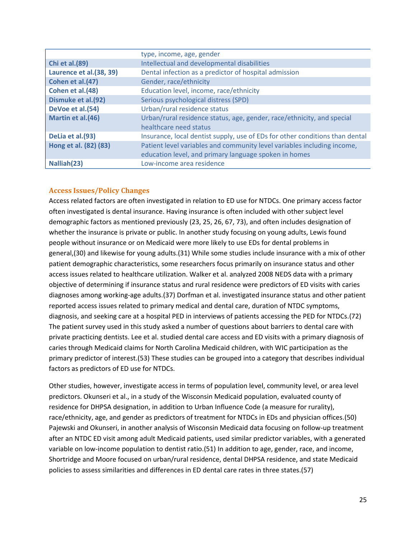|                         | type, income, age, gender                                                    |
|-------------------------|------------------------------------------------------------------------------|
| <b>Chi et al. (89)</b>  | Intellectual and developmental disabilities                                  |
| Laurence et al.(38, 39) | Dental infection as a predictor of hospital admission                        |
| Cohen et al.(47)        | Gender, race/ethnicity                                                       |
| Cohen et al.(48)        | Education level, income, race/ethnicity                                      |
| Dismuke et al.(92)      | Serious psychological distress (SPD)                                         |
| DeVoe et al.(54)        | Urban/rural residence status                                                 |
| Martin et al.(46)       | Urban/rural residence status, age, gender, race/ethnicity, and special       |
|                         | healthcare need status                                                       |
| DeLia et al.(93)        | Insurance, local dentist supply, use of EDs for other conditions than dental |
| Hong et al. (82) (83)   | Patient level variables and community level variables including income,      |
|                         | education level, and primary language spoken in homes                        |
| Nalliah(23)             | Low-income area residence                                                    |

#### **Access Issues/Policy Changes**

Access related factors are often investigated in relation to ED use for NTDCs. One primary access factor often investigated is dental insurance. Having insurance is often included with other subject level demographic factors as mentioned previously (23, 25, 26, 67, 73), and often includes designation of whether the insurance is private or public. In another study focusing on young adults, Lewis found people without insurance or on Medicaid were more likely to use EDs for dental problems in general,(30) and likewise for young adults.(31) While some studies include insurance with a mix of other patient demographic characteristics, some researchers focus primarily on insurance status and other access issues related to healthcare utilization. Walker et al. analyzed 2008 NEDS data with a primary objective of determining if insurance status and rural residence were predictors of ED visits with caries diagnoses among working-age adults.(37) Dorfman et al. investigated insurance status and other patient reported access issues related to primary medical and dental care, duration of NTDC symptoms, diagnosis, and seeking care at a hospital PED in interviews of patients accessing the PED for NTDCs.(72) The patient survey used in this study asked a number of questions about barriers to dental care with private practicing dentists. Lee et al. studied dental care access and ED visits with a primary diagnosis of caries through Medicaid claims for North Carolina Medicaid children, with WIC participation as the primary predictor of interest.(53) These studies can be grouped into a category that describes individual factors as predictors of ED use for NTDCs.

Other studies, however, investigate access in terms of population level, community level, or area level predictors. Okunseri et al., in a study of the Wisconsin Medicaid population, evaluated county of residence for DHPSA designation, in addition to Urban Influence Code (a measure for rurality), race/ethnicity, age, and gender as predictors of treatment for NTDCs in EDs and physician offices.(50) Pajewski and Okunseri, in another analysis of Wisconsin Medicaid data focusing on follow-up treatment after an NTDC ED visit among adult Medicaid patients, used similar predictor variables, with a generated variable on low-income population to dentist ratio.(51) In addition to age, gender, race, and income, Shortridge and Moore focused on urban/rural residence, dental DHPSA residence, and state Medicaid policies to assess similarities and differences in ED dental care rates in three states.(57)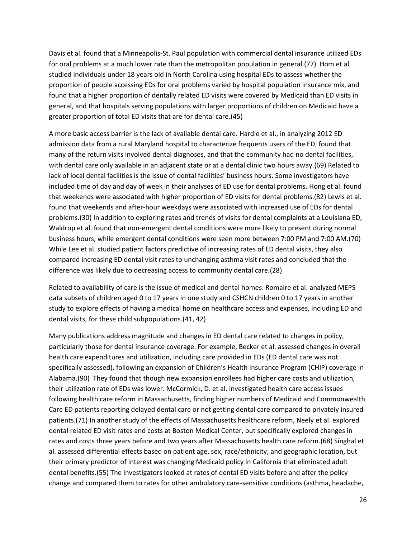Davis et al. found that a Minneapolis-St. Paul population with commercial dental insurance utilized EDs for oral problems at a much lower rate than the metropolitan population in general.(77) Hom et al. studied individuals under 18 years old in North Carolina using hospital EDs to assess whether the proportion of people accessing EDs for oral problems varied by hospital population insurance mix, and found that a higher proportion of dentally related ED visits were covered by Medicaid than ED visits in general, and that hospitals serving populations with larger proportions of children on Medicaid have a greater proportion of total ED visits that are for dental care.(45)

A more basic access barrier is the lack of available dental care. Hardie et al., in analyzing 2012 ED admission data from a rural Maryland hospital to characterize frequents users of the ED, found that many of the return visits involved dental diagnoses, and that the community had no dental facilities, with dental care only available in an adjacent state or at a dental clinic two hours away.(69) Related to lack of local dental facilities is the issue of dental facilities' business hours. Some investigators have included time of day and day of week in their analyses of ED use for dental problems. Hong et al. found that weekends were associated with higher proportion of ED visits for dental problems.(82) Lewis et al. found that weekends and after-hour weekdays were associated with increased use of EDs for dental problems.(30) In addition to exploring rates and trends of visits for dental complaints at a Louisiana ED, Waldrop et al. found that non-emergent dental conditions were more likely to present during normal business hours, while emergent dental conditions were seen more between 7:00 PM and 7:00 AM.(70) While Lee et al. studied patient factors predictive of increasing rates of ED dental visits, they also compared increasing ED dental visit rates to unchanging asthma visit rates and concluded that the difference was likely due to decreasing access to community dental care.(28)

Related to availability of care is the issue of medical and dental homes. Romaire et al. analyzed MEPS data subsets of children aged 0 to 17 years in one study and CSHCN children 0 to 17 years in another study to explore effects of having a medical home on healthcare access and expenses, including ED and dental visits, for these child subpopulations.(41, 42)

Many publications address magnitude and changes in ED dental care related to changes in policy, particularly those for dental insurance coverage. For example, Becker et al. assessed changes in overall health care expenditures and utilization, including care provided in EDs (ED dental care was not specifically assessed), following an expansion of Children's Health Insurance Program (CHIP) coverage in Alabama.(90) They found that though new expansion enrollees had higher care costs and utilization, their utilization rate of EDs was lower. McCormick, D. et al. investigated health care access issues following health care reform in Massachusetts, finding higher numbers of Medicaid and Commonwealth Care ED patients reporting delayed dental care or not getting dental care compared to privately insured patients.(71) In another study of the effects of Massachusetts healthcare reform, Neely et al. explored dental related ED visit rates and costs at Boston Medical Center, but specifically explored changes in rates and costs three years before and two years after Massachusetts health care reform.(68) Singhal et al. assessed differential effects based on patient age, sex, race/ethnicity, and geographic location, but their primary predictor of interest was changing Medicaid policy in California that eliminated adult dental benefits.(55) The investigators looked at rates of dental ED visits before and after the policy change and compared them to rates for other ambulatory care-sensitive conditions (asthma, headache,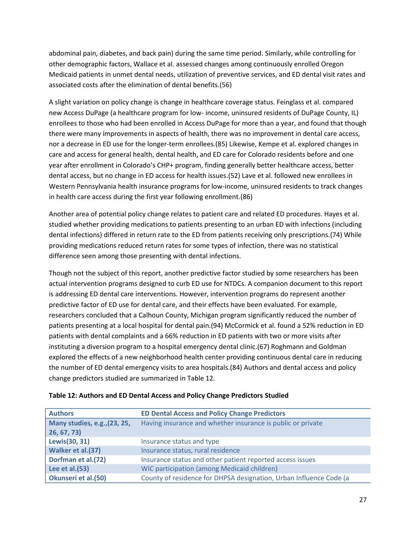abdominal pain, diabetes, and back pain) during the same time period. Similarly, while controlling for other demographic factors, Wallace et al. assessed changes among continuously enrolled Oregon Medicaid patients in unmet dental needs, utilization of preventive services, and ED dental visit rates and associated costs after the elimination of dental benefits.(56)

A slight variation on policy change is change in healthcare coverage status. Feinglass et al. compared new Access DuPage (a healthcare program for low- income, uninsured residents of DuPage County, IL) enrollees to those who had been enrolled in Access DuPage for more than a year, and found that though there were many improvements in aspects of health, there was no improvement in dental care access, nor a decrease in ED use for the longer-term enrollees.(85) Likewise, Kempe et al. explored changes in care and access for general health, dental health, and ED care for Colorado residents before and one year after enrollment in Colorado's CHP+ program, finding generally better healthcare access, better dental access, but no change in ED access for health issues.(52) Lave et al. followed new enrollees in Western Pennsylvania health insurance programs for low-income, uninsured residents to track changes in health care access during the first year following enrollment.(86)

Another area of potential policy change relates to patient care and related ED procedures. Hayes et al. studied whether providing medications to patients presenting to an urban ED with infections (including dental infections) differed in return rate to the ED from patients receiving only prescriptions.(74) While providing medications reduced return rates for some types of infection, there was no statistical difference seen among those presenting with dental infections.

Though not the subject of this report, another predictive factor studied by some researchers has been actual intervention programs designed to curb ED use for NTDCs. A companion document to this report is addressing ED dental care interventions. However, intervention programs do represent another predictive factor of ED use for dental care, and their effects have been evaluated. For example, researchers concluded that a Calhoun County, Michigan program significantly reduced the number of patients presenting at a local hospital for dental pain.(94) McCormick et al. found a 52% reduction in ED patients with dental complaints and a 66% reduction in ED patients with two or more visits after instituting a diversion program to a hospital emergency dental clinic.(67) Roghmann and Goldman explored the effects of a new neighborhood health center providing continuous dental care in reducing the number of ED dental emergency visits to area hospitals.(84) Authors and dental access and policy change predictors studied are summarized in Table 12.

| <b>Authors</b>                                     | <b>ED Dental Access and Policy Change Predictors</b>               |
|----------------------------------------------------|--------------------------------------------------------------------|
| <b>Many studies, e.g., (23, 25,</b><br>26, 67, 73) | Having insurance and whether insurance is public or private        |
| Lewis(30, 31)                                      | Insurance status and type                                          |
| Walker et al.(37)                                  | Insurance status, rural residence                                  |
| Dorfman et al.(72)                                 | Insurance status and other patient reported access issues          |
| Lee et al.(53)                                     | <b>WIC participation (among Medicaid children)</b>                 |
| Okunseri et al.(50)                                | County of residence for DHPSA designation, Urban Influence Code (a |

**Table 12: Authors and ED Dental Access and Policy Change Predictors Studied**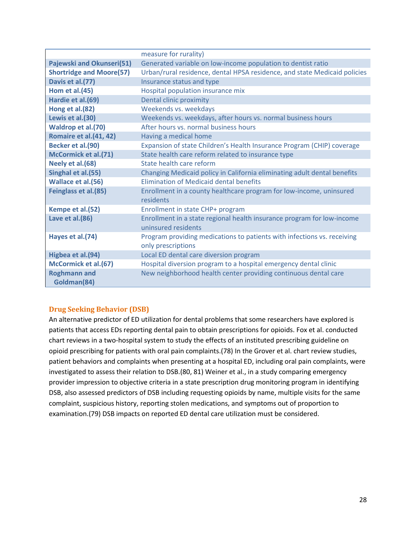|                                 | measure for rurality)                                                                         |
|---------------------------------|-----------------------------------------------------------------------------------------------|
| Pajewski and Okunseri(51)       | Generated variable on low-income population to dentist ratio                                  |
| <b>Shortridge and Moore(57)</b> | Urban/rural residence, dental HPSA residence, and state Medicaid policies                     |
| Davis et al.(77)                | Insurance status and type                                                                     |
| <b>Hom et al.(45)</b>           | Hospital population insurance mix                                                             |
| Hardie et al.(69)               | Dental clinic proximity                                                                       |
| Hong et al.(82)                 | Weekends vs. weekdays                                                                         |
| Lewis et al.(30)                | Weekends vs. weekdays, after hours vs. normal business hours                                  |
| Waldrop et al.(70)              | After hours vs. normal business hours                                                         |
| Romaire et al.(41, 42)          | Having a medical home                                                                         |
| Becker et al.(90)               | Expansion of state Children's Health Insurance Program (CHIP) coverage                        |
| McCormick et al.(71)            | State health care reform related to insurance type                                            |
| Neely et al.(68)                | State health care reform                                                                      |
| Singhal et al.(55)              | Changing Medicaid policy in California eliminating adult dental benefits                      |
| Wallace et al.(56)              | <b>Flimination of Medicaid dental benefits</b>                                                |
| Feinglass et al.(85)            | Enrollment in a county healthcare program for low-income, uninsured<br>residents              |
| Kempe et al.(52)                | Enrollment in state CHP+ program                                                              |
| Lave et al.(86)                 | Enrollment in a state regional health insurance program for low-income<br>uninsured residents |
| Hayes et al.(74)                | Program providing medications to patients with infections vs. receiving<br>only prescriptions |
| Higbea et al.(94)               | Local ED dental care diversion program                                                        |
| McCormick et al.(67)            | Hospital diversion program to a hospital emergency dental clinic                              |
| <b>Roghmann and</b>             | New neighborhood health center providing continuous dental care                               |
| Goldman(84)                     |                                                                                               |

#### **Drug Seeking Behavior (DSB)**

An alternative predictor of ED utilization for dental problems that some researchers have explored is patients that access EDs reporting dental pain to obtain prescriptions for opioids. Fox et al. conducted chart reviews in a two-hospital system to study the effects of an instituted prescribing guideline on opioid prescribing for patients with oral pain complaints.(78) In the Grover et al. chart review studies, patient behaviors and complaints when presenting at a hospital ED, including oral pain complaints, were investigated to assess their relation to DSB.(80, 81) Weiner et al., in a study comparing emergency provider impression to objective criteria in a state prescription drug monitoring program in identifying DSB, also assessed predictors of DSB including requesting opioids by name, multiple visits for the same complaint, suspicious history, reporting stolen medications, and symptoms out of proportion to examination.(79) DSB impacts on reported ED dental care utilization must be considered.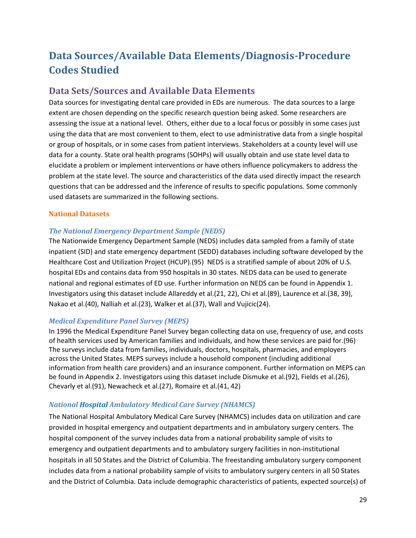# **Data Sources/Available Data Elements/Diagnosis-Procedure Codes Studied**

## **Data Sets/Sources and Available Data Elements**

Data sources for investigating dental care provided in EDs are numerous. The data sources to a large extent are chosen depending on the specific research question being asked. Some researchers are assessing the issue at a national level. Others, either due to a local focus or possibly in some cases just using the data that are most convenient to them, elect to use administrative data from a single hospital or group of hospitals, or in some cases from patient interviews. Stakeholders at a county level will use data for a county. State oral health programs (SOHPs) will usually obtain and use state level data to elucidate a problem or implement interventions or have others influence policymakers to address the problem at the state level. The source and characteristics of the data used directly impact the research questions that can be addressed and the inference of results to specific populations. Some commonly used datasets are summarized in the following sections.

#### **National Datasets**

#### *The National Emergency Department Sample (NEDS)*

The Nationwide Emergency Department Sample (NEDS) includes data sampled from a family of state inpatient (SID) and state emergency department (SEDD) databases including software developed by the Healthcare Cost and Utilization Project (HCUP).(95) NEDS is a stratified sample of about 20% of U.S. hospital EDs and contains data from 950 hospitals in 30 states. NEDS data can be used to generate national and regional estimates of ED use. Further information on NEDS can be found in Appendix 1. Investigators using this dataset include Allareddy et al.(21, 22), Chi et al.(89), Laurence et al.(38, 39), Nakao et al.(40), Nalliah et al.(23), Walker et al.(37), Wall and Vujicic(24).

#### *Medical Expenditure Panel Survey (MEPS)*

In 1996 the Medical Expenditure Panel Survey began collecting data on use, frequency of use, and costs of health services used by American families and individuals, and how these services are paid for.(96) The surveys include data from families, individuals, doctors, hospitals, pharmacies, and employers across the United States. MEPS surveys include a household component (including additional information from health care providers) and an insurance component. Further information on MEPS can be found in Appendix 2. Investigators using this dataset include Dismuke et al.(92), Fields et al.(26), Chevarly et al.(91), Newacheck et al.(27), Romaire et al.(41, 42)

#### *National Hospital Ambulatory Medical Care Survey (NHAMCS)*

The National Hospital Ambulatory Medical Care Survey (NHAMCS) includes data on utilization and care provided in hospital emergency and outpatient departments and in ambulatory surgery centers. The hospital component of the survey includes data from a national probability sample of visits to emergency and outpatient departments and to ambulatory surgery facilities in non-institutional hospitals in all 50 States and the District of Columbia. The freestanding ambulatory surgery component includes data from a national probability sample of visits to ambulatory surgery centers in all 50 States and the District of Columbia. Data include demographic characteristics of patients, expected source(s) of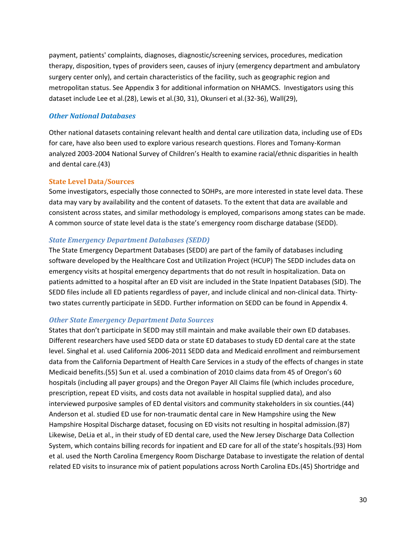payment, patients' complaints, diagnoses, diagnostic/screening services, procedures, medication therapy, disposition, types of providers seen, causes of injury (emergency department and ambulatory surgery center only), and certain characteristics of the facility, such as geographic region and metropolitan status. See Appendix 3 for additional information on NHAMCS. Investigators using this dataset include Lee et al.(28), Lewis et al.(30, 31), Okunseri et al.(32-36), Wall(29),

#### *Other National Databases*

Other national datasets containing relevant health and dental care utilization data, including use of EDs for care, have also been used to explore various research questions. Flores and Tomany-Korman analyzed 2003-2004 National Survey of Children's Health to examine racial/ethnic disparities in health and dental care.(43)

#### **State Level Data/Sources**

Some investigators, especially those connected to SOHPs, are more interested in state level data. These data may vary by availability and the content of datasets. To the extent that data are available and consistent across states, and similar methodology is employed, comparisons among states can be made. A common source of state level data is the state's emergency room discharge database (SEDD).

#### *State Emergency Department Databases (SEDD)*

The State Emergency Department Databases (SEDD) are part of the family of databases including software developed by the Healthcare Cost and Utilization Project (HCUP) The SEDD includes data on emergency visits at hospital emergency departments that do not result in hospitalization. Data on patients admitted to a hospital after an ED visit are included in the State Inpatient Databases (SID). The SEDD files include all ED patients regardless of payer, and include clinical and non-clinical data. Thirtytwo states currently participate in SEDD. Further information on SEDD can be found in Appendix 4.

#### *Other State Emergency Department Data Sources*

States that don't participate in SEDD may still maintain and make available their own ED databases. Different researchers have used SEDD data or state ED databases to study ED dental care at the state level. Singhal et al. used California 2006-2011 SEDD data and Medicaid enrollment and reimbursement data from the California Department of Health Care Services in a study of the effects of changes in state Medicaid benefits.(55) Sun et al. used a combination of 2010 claims data from 45 of Oregon's 60 hospitals (including all payer groups) and the Oregon Payer All Claims file (which includes procedure, prescription, repeat ED visits, and costs data not available in hospital supplied data), and also interviewed purposive samples of ED dental visitors and community stakeholders in six counties.(44) Anderson et al. studied ED use for non-traumatic dental care in New Hampshire using the New Hampshire Hospital Discharge dataset, focusing on ED visits not resulting in hospital admission.(87) Likewise, DeLia et al., in their study of ED dental care, used the New Jersey Discharge Data Collection System, which contains billing records for inpatient and ED care for all of the state's hospitals.(93) Hom et al. used the North Carolina Emergency Room Discharge Database to investigate the relation of dental related ED visits to insurance mix of patient populations across North Carolina EDs.(45) Shortridge and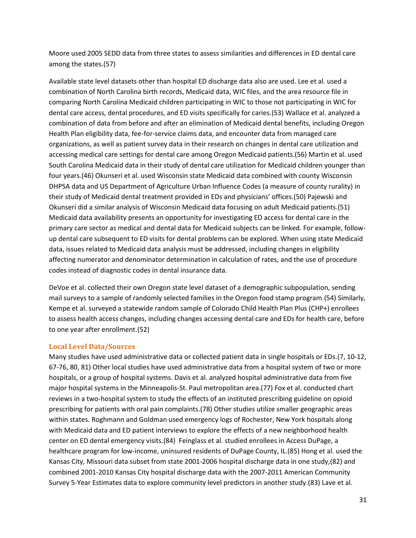Moore used 2005 SEDD data from three states to assess similarities and differences in ED dental care among the states.(57)

Available state level datasets other than hospital ED discharge data also are used. Lee et al. used a combination of North Carolina birth records, Medicaid data, WIC files, and the area resource file in comparing North Carolina Medicaid children participating in WIC to those not participating in WIC for dental care access, dental procedures, and ED visits specifically for caries.(53) Wallace et al. analyzed a combination of data from before and after an elimination of Medicaid dental benefits, including Oregon Health Plan eligibility data, fee-for-service claims data, and encounter data from managed care organizations, as well as patient survey data in their research on changes in dental care utilization and accessing medical care settings for dental care among Oregon Medicaid patients.(56) Martin et al. used South Carolina Medicaid data in their study of dental care utilization for Medicaid children younger than four years.(46) Okunseri et al. used Wisconsin state Medicaid data combined with county Wisconsin DHPSA data and US Department of Agriculture Urban Influence Codes (a measure of county rurality) in their study of Medicaid dental treatment provided in EDs and physicians' offices.(50) Pajewski and Okunseri did a similar analysis of Wisconsin Medicaid data focusing on adult Medicaid patients.(51) Medicaid data availability presents an opportunity for investigating ED access for dental care in the primary care sector as medical and dental data for Medicaid subjects can be linked. For example, followup dental care subsequent to ED visits for dental problems can be explored. When using state Medicaid data, issues related to Medicaid data analysis must be addressed, including changes in eligibility affecting numerator and denominator determination in calculation of rates, and the use of procedure codes instead of diagnostic codes in dental insurance data.

DeVoe et al. collected their own Oregon state level dataset of a demographic subpopulation, sending mail surveys to a sample of randomly selected families in the Oregon food stamp program.(54) Similarly, Kempe et al. surveyed a statewide random sample of Colorado Child Health Plan Plus (CHP+) enrollees to assess health access changes, including changes accessing dental care and EDs for health care, before to one year after enrollment.(52)

#### **Local Level Data/Sources**

Many studies have used administrative data or collected patient data in single hospitals or EDs.(7, 10-12, 67-76, 80, 81) Other local studies have used administrative data from a hospital system of two or more hospitals, or a group of hospital systems. Davis et al. analyzed hospital administrative data from five major hospital systems in the Minneapolis-St. Paul metropolitan area.(77) Fox et al. conducted chart reviews in a two-hospital system to study the effects of an instituted prescribing guideline on opioid prescribing for patients with oral pain complaints.(78) Other studies utilize smaller geographic areas within states. Roghmann and Goldman used emergency logs of Rochester, New York hospitals along with Medicaid data and ED patient interviews to explore the effects of a new neighborhood health center on ED dental emergency visits.(84) Feinglass et al. studied enrollees in Access DuPage, a healthcare program for low-income, uninsured residents of DuPage County, IL.(85) Hong et al. used the Kansas City, Missouri data subset from state 2001-2006 hospital discharge data in one study,(82) and combined 2001-2010 Kansas City hospital discharge data with the 2007-2011 American Community Survey 5-Year Estimates data to explore community level predictors in another study.(83) Lave et al.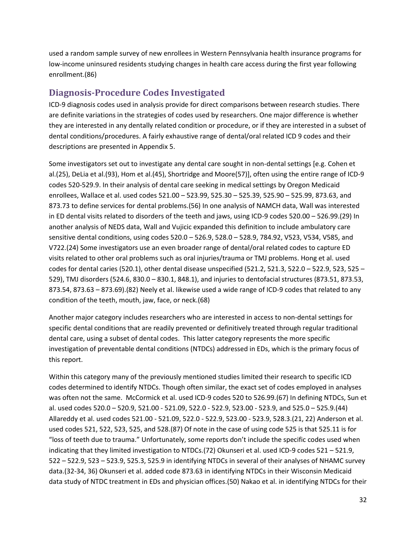used a random sample survey of new enrollees in Western Pennsylvania health insurance programs for low-income uninsured residents studying changes in health care access during the first year following enrollment.(86)

## **Diagnosis-Procedure Codes Investigated**

ICD-9 diagnosis codes used in analysis provide for direct comparisons between research studies. There are definite variations in the strategies of codes used by researchers. One major difference is whether they are interested in any dentally related condition or procedure, or if they are interested in a subset of dental conditions/procedures. A fairly exhaustive range of dental/oral related ICD 9 codes and their descriptions are presented in Appendix 5.

Some investigators set out to investigate any dental care sought in non-dental settings [e.g. Cohen et al.(25), DeLia et al.(93), Hom et al.(45), Shortridge and Moore(57)], often using the entire range of ICD-9 codes 520-529.9. In their analysis of dental care seeking in medical settings by Oregon Medicaid enrollees, Wallace et al. used codes 521.00 – 523.99, 525.30 – 525.39, 525.90 – 525.99, 873.63, and 873.73 to define services for dental problems.(56) In one analysis of NAMCH data, Wall was interested in ED dental visits related to disorders of the teeth and jaws, using ICD-9 codes 520.00 – 526.99.(29) In another analysis of NEDS data, Wall and Vujicic expanded this definition to include ambulatory care sensitive dental conditions, using codes 520.0 – 526.9, 528.0 – 528.9, 784.92, V523, V534, V585, and V722.(24) Some investigators use an even broader range of dental/oral related codes to capture ED visits related to other oral problems such as oral injuries/trauma or TMJ problems. Hong et al. used codes for dental caries (520.1), other dental disease unspecified (521.2, 521.3, 522.0 – 522.9, 523, 525 – 529), TMJ disorders (524.6, 830.0 – 830.1, 848.1), and injuries to dentofacial structures (873.51, 873.53, 873.54, 873.63 – 873.69).(82) Neely et al. likewise used a wide range of ICD-9 codes that related to any condition of the teeth, mouth, jaw, face, or neck.(68)

Another major category includes researchers who are interested in access to non-dental settings for specific dental conditions that are readily prevented or definitively treated through regular traditional dental care, using a subset of dental codes. This latter category represents the more specific investigation of preventable dental conditions (NTDCs) addressed in EDs, which is the primary focus of this report.

Within this category many of the previously mentioned studies limited their research to specific ICD codes determined to identify NTDCs. Though often similar, the exact set of codes employed in analyses was often not the same. McCormick et al. used ICD-9 codes 520 to 526.99.(67) In defining NTDCs, Sun et al. used codes 520.0 – 520.9, 521.00 - 521.09, 522.0 - 522.9, 523.00 - 523.9, and 525.0 – 525.9.(44) Allareddy et al. used codes 521.00 - 521.09, 522.0 - 522.9, 523.00 - 523.9, 528.3.(21, 22) Anderson et al. used codes 521, 522, 523, 525, and 528.(87) Of note in the case of using code 525 is that 525.11 is for "loss of teeth due to trauma." Unfortunately, some reports don't include the specific codes used when indicating that they limited investigation to NTDCs.(72) Okunseri et al. used ICD-9 codes 521 – 521.9, 522 – 522.9, 523 – 523.9, 525.3, 525.9 in identifying NTDCs in several of their analyses of NHAMC survey data.(32-34, 36) Okunseri et al. added code 873.63 in identifying NTDCs in their Wisconsin Medicaid data study of NTDC treatment in EDs and physician offices.(50) Nakao et al. in identifying NTDCs for their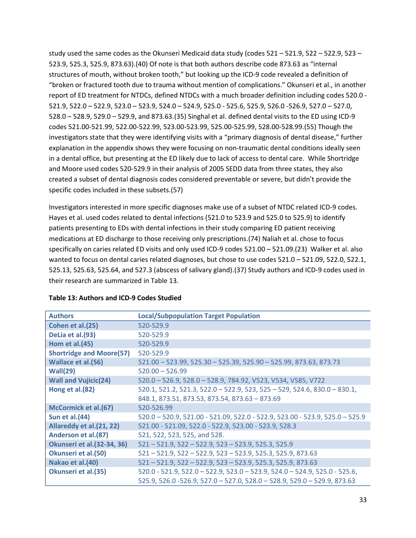study used the same codes as the Okunseri Medicaid data study (codes 521 – 521.9, 522 – 522.9, 523 – 523.9, 525.3, 525.9, 873.63).(40) Of note is that both authors describe code 873.63 as "internal structures of mouth, without broken tooth," but looking up the ICD-9 code revealed a definition of "broken or fractured tooth due to trauma without mention of complications." Okunseri et al., in another report of ED treatment for NTDCs, defined NTDCs with a much broader definition including codes 520.0 - 521.9, 522.0 – 522.9, 523.0 – 523.9, 524.0 – 524.9, 525.0 - 525.6, 525.9, 526.0 -526.9, 527.0 – 527.0, 528.0 – 528.9, 529.0 – 529.9, and 873.63.(35) Singhal et al. defined dental visits to the ED using ICD-9 codes 521.00-521.99, 522.00-522.99, 523.00-523.99, 525.00-525.99, 528.00-528.99.(55) Though the investigators state that they were identifying visits with a "primary diagnosis of dental disease," further explanation in the appendix shows they were focusing on non-traumatic dental conditions ideally seen in a dental office, but presenting at the ED likely due to lack of access to dental care. While Shortridge and Moore used codes 520-529.9 in their analysis of 2005 SEDD data from three states, they also created a subset of dental diagnosis codes considered preventable or severe, but didn't provide the specific codes included in these subsets.(57)

Investigators interested in more specific diagnoses make use of a subset of NTDC related ICD-9 codes. Hayes et al. used codes related to dental infections (521.0 to 523.9 and 525.0 to 525.9) to identify patients presenting to EDs with dental infections in their study comparing ED patient receiving medications at ED discharge to those receiving only prescriptions.(74) Naliah et al. chose to focus specifically on caries related ED visits and only used ICD-9 codes 521.00 – 521.09.(23) Walker et al. also wanted to focus on dental caries related diagnoses, but chose to use codes 521.0 – 521.09, 522.0, 522.1, 525.13, 525.63, 525.64, and 527.3 (abscess of salivary gland).(37) Study authors and ICD-9 codes used in their research are summarized in Table 13.

| <b>Authors</b>                     | <b>Local/Subpopulation Target Population</b>                                 |
|------------------------------------|------------------------------------------------------------------------------|
| Cohen et al.(25)                   | 520-529.9                                                                    |
| DeLia et al.(93)                   | 520-529.9                                                                    |
| <b>Hom et al.(45)</b>              | 520-529.9                                                                    |
| <b>Shortridge and Moore(57)</b>    | 520-529.9                                                                    |
| <b>Wallace et al.(56)</b>          | 521.00 - 523.99, 525.30 - 525.39, 525.90 - 525.99, 873.63, 873.73            |
| Wall(29)                           | $520.00 - 526.99$                                                            |
| <b>Wall and Vujicic(24)</b>        | 520.0 - 526.9, 528.0 - 528.9, 784.92, V523, V534, V585, V722                 |
| Hong et al. (82)                   | $520.1, 521.2, 521.3, 522.0 - 522.9, 523, 525 - 529, 524.6, 830.0 - 830.1,$  |
|                                    | 848.1, 873.51, 873.53, 873.54, 873.63 - 873.69                               |
| McCormick et al.(67)               | 520-526.99                                                                   |
| Sun et al. (44)                    | 520.0 - 520.9, 521.00 - 521.09, 522.0 - 522.9, 523.00 - 523.9, 525.0 - 525.9 |
| Allareddy et al. (21, 22)          | 521.00 - 521.09, 522.0 - 522.9, 523.00 - 523.9, 528.3                        |
| Anderson et al.(87)                | 521, 522, 523, 525, and 528.                                                 |
| <b>Okunseri et al. (32-34, 36)</b> | $521 - 521.9$ , $522 - 522.9$ , $523 - 523.9$ , $525.3$ , $525.9$            |
| <b>Okunseri et al. (50)</b>        | 521 - 521.9, 522 - 522.9, 523 - 523.9, 525.3, 525.9, 873.63                  |
| Nakao et al.(40)                   | 521 - 521.9, 522 - 522.9, 523 - 523.9, 525.3, 525.9, 873.63                  |
| <b>Okunseri et al.(35)</b>         | 520.0 - 521.9, 522.0 - 522.9, 523.0 - 523.9, 524.0 - 524.9, 525.0 - 525.6,   |
|                                    | 525.9, 526.0 -526.9, 527.0 - 527.0, 528.0 - 528.9, 529.0 - 529.9, 873.63     |

#### **Table 13: Authors and ICD-9 Codes Studied**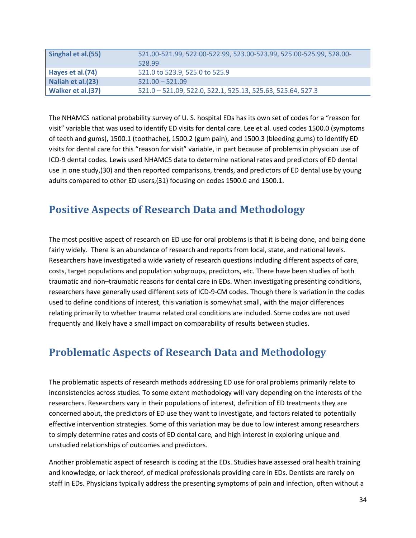| Singhal et al.(55) | 521.00-521.99, 522.00-522.99, 523.00-523.99, 525.00-525.99, 528.00-<br>528.99 |
|--------------------|-------------------------------------------------------------------------------|
| Hayes et al.(74)   | 521.0 to 523.9, 525.0 to 525.9                                                |
| Naliah et al.(23)  | $521.00 - 521.09$                                                             |
| Walker et al.(37)  | 521.0 - 521.09, 522.0, 522.1, 525.13, 525.63, 525.64, 527.3                   |

The NHAMCS national probability survey of U. S. hospital EDs has its own set of codes for a "reason for visit" variable that was used to identify ED visits for dental care. Lee et al. used codes 1500.0 (symptoms of teeth and gums), 1500.1 (toothache), 1500.2 (gum pain), and 1500.3 (bleeding gums) to identify ED visits for dental care for this "reason for visit" variable, in part because of problems in physician use of ICD-9 dental codes. Lewis used NHAMCS data to determine national rates and predictors of ED dental use in one study,(30) and then reported comparisons, trends, and predictors of ED dental use by young adults compared to other ED users,(31) focusing on codes 1500.0 and 1500.1.

# **Positive Aspects of Research Data and Methodology**

The most positive aspect of research on ED use for oral problems is that it is being done, and being done fairly widely. There is an abundance of research and reports from local, state, and national levels. Researchers have investigated a wide variety of research questions including different aspects of care, costs, target populations and population subgroups, predictors, etc. There have been studies of both traumatic and non–traumatic reasons for dental care in EDs. When investigating presenting conditions, researchers have generally used different sets of ICD-9-CM codes. Though there is variation in the codes used to define conditions of interest, this variation is somewhat small, with the major differences relating primarily to whether trauma related oral conditions are included. Some codes are not used frequently and likely have a small impact on comparability of results between studies.

# **Problematic Aspects of Research Data and Methodology**

The problematic aspects of research methods addressing ED use for oral problems primarily relate to inconsistencies across studies. To some extent methodology will vary depending on the interests of the researchers. Researchers vary in their populations of interest, definition of ED treatments they are concerned about, the predictors of ED use they want to investigate, and factors related to potentially effective intervention strategies. Some of this variation may be due to low interest among researchers to simply determine rates and costs of ED dental care, and high interest in exploring unique and unstudied relationships of outcomes and predictors.

Another problematic aspect of research is coding at the EDs. Studies have assessed oral health training and knowledge, or lack thereof, of medical professionals providing care in EDs. Dentists are rarely on staff in EDs. Physicians typically address the presenting symptoms of pain and infection, often without a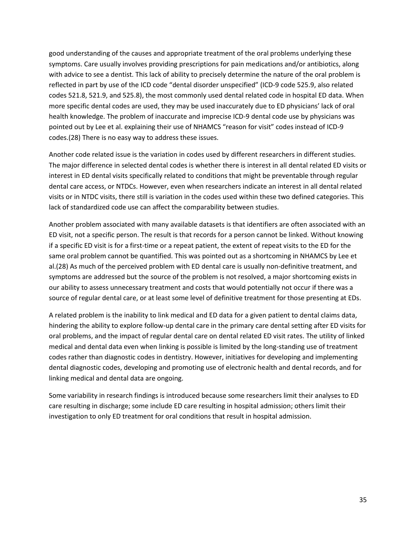good understanding of the causes and appropriate treatment of the oral problems underlying these symptoms. Care usually involves providing prescriptions for pain medications and/or antibiotics, along with advice to see a dentist. This lack of ability to precisely determine the nature of the oral problem is reflected in part by use of the ICD code "dental disorder unspecified" (ICD-9 code 525.9, also related codes 521.8, 521.9, and 525.8), the most commonly used dental related code in hospital ED data. When more specific dental codes are used, they may be used inaccurately due to ED physicians' lack of oral health knowledge. The problem of inaccurate and imprecise ICD-9 dental code use by physicians was pointed out by Lee et al. explaining their use of NHAMCS "reason for visit" codes instead of ICD-9 codes.(28) There is no easy way to address these issues.

Another code related issue is the variation in codes used by different researchers in different studies. The major difference in selected dental codes is whether there is interest in all dental related ED visits or interest in ED dental visits specifically related to conditions that might be preventable through regular dental care access, or NTDCs. However, even when researchers indicate an interest in all dental related visits or in NTDC visits, there still is variation in the codes used within these two defined categories. This lack of standardized code use can affect the comparability between studies.

Another problem associated with many available datasets is that identifiers are often associated with an ED visit, not a specific person. The result is that records for a person cannot be linked. Without knowing if a specific ED visit is for a first-time or a repeat patient, the extent of repeat visits to the ED for the same oral problem cannot be quantified. This was pointed out as a shortcoming in NHAMCS by Lee et al.(28) As much of the perceived problem with ED dental care is usually non-definitive treatment, and symptoms are addressed but the source of the problem is not resolved, a major shortcoming exists in our ability to assess unnecessary treatment and costs that would potentially not occur if there was a source of regular dental care, or at least some level of definitive treatment for those presenting at EDs.

A related problem is the inability to link medical and ED data for a given patient to dental claims data, hindering the ability to explore follow-up dental care in the primary care dental setting after ED visits for oral problems, and the impact of regular dental care on dental related ED visit rates. The utility of linked medical and dental data even when linking is possible is limited by the long-standing use of treatment codes rather than diagnostic codes in dentistry. However, initiatives for developing and implementing dental diagnostic codes, developing and promoting use of electronic health and dental records, and for linking medical and dental data are ongoing.

Some variability in research findings is introduced because some researchers limit their analyses to ED care resulting in discharge; some include ED care resulting in hospital admission; others limit their investigation to only ED treatment for oral conditions that result in hospital admission.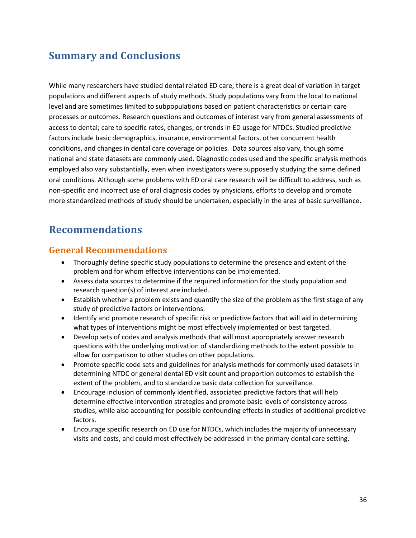# **Summary and Conclusions**

While many researchers have studied dental related ED care, there is a great deal of variation in target populations and different aspects of study methods. Study populations vary from the local to national level and are sometimes limited to subpopulations based on patient characteristics or certain care processes or outcomes. Research questions and outcomes of interest vary from general assessments of access to dental; care to specific rates, changes, or trends in ED usage for NTDCs. Studied predictive factors include basic demographics, insurance, environmental factors, other concurrent health conditions, and changes in dental care coverage or policies. Data sources also vary, though some national and state datasets are commonly used. Diagnostic codes used and the specific analysis methods employed also vary substantially, even when investigators were supposedly studying the same defined oral conditions. Although some problems with ED oral care research will be difficult to address, such as non-specific and incorrect use of oral diagnosis codes by physicians, efforts to develop and promote more standardized methods of study should be undertaken, especially in the area of basic surveillance.

# **Recommendations**

### **General Recommendations**

- Thoroughly define specific study populations to determine the presence and extent of the problem and for whom effective interventions can be implemented.
- Assess data sources to determine if the required information for the study population and research question(s) of interest are included.
- Establish whether a problem exists and quantify the size of the problem as the first stage of any study of predictive factors or interventions.
- Identify and promote research of specific risk or predictive factors that will aid in determining what types of interventions might be most effectively implemented or best targeted.
- Develop sets of codes and analysis methods that will most appropriately answer research questions with the underlying motivation of standardizing methods to the extent possible to allow for comparison to other studies on other populations.
- Promote specific code sets and guidelines for analysis methods for commonly used datasets in determining NTDC or general dental ED visit count and proportion outcomes to establish the extent of the problem, and to standardize basic data collection for surveillance.
- Encourage inclusion of commonly identified, associated predictive factors that will help determine effective intervention strategies and promote basic levels of consistency across studies, while also accounting for possible confounding effects in studies of additional predictive factors.
- Encourage specific research on ED use for NTDCs, which includes the majority of unnecessary visits and costs, and could most effectively be addressed in the primary dental care setting.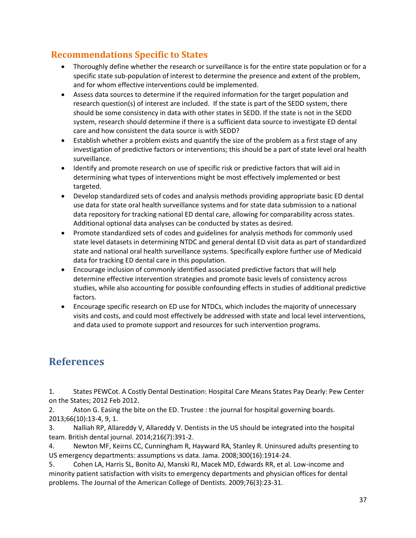# **Recommendations Specific to States**

- Thoroughly define whether the research or surveillance is for the entire state population or for a specific state sub-population of interest to determine the presence and extent of the problem, and for whom effective interventions could be implemented.
- Assess data sources to determine if the required information for the target population and research question(s) of interest are included. If the state is part of the SEDD system, there should be some consistency in data with other states in SEDD. If the state is not in the SEDD system, research should determine if there is a sufficient data source to investigate ED dental care and how consistent the data source is with SEDD?
- Establish whether a problem exists and quantify the size of the problem as a first stage of any investigation of predictive factors or interventions; this should be a part of state level oral health surveillance.
- Identify and promote research on use of specific risk or predictive factors that will aid in determining what types of interventions might be most effectively implemented or best targeted.
- Develop standardized sets of codes and analysis methods providing appropriate basic ED dental use data for state oral health surveillance systems and for state data submission to a national data repository for tracking national ED dental care, allowing for comparability across states. Additional optional data analyses can be conducted by states as desired.
- Promote standardized sets of codes and guidelines for analysis methods for commonly used state level datasets in determining NTDC and general dental ED visit data as part of standardized state and national oral health surveillance systems. Specifically explore further use of Medicaid data for tracking ED dental care in this population.
- Encourage inclusion of commonly identified associated predictive factors that will help determine effective intervention strategies and promote basic levels of consistency across studies, while also accounting for possible confounding effects in studies of additional predictive factors.
- Encourage specific research on ED use for NTDCs, which includes the majority of unnecessary visits and costs, and could most effectively be addressed with state and local level interventions, and data used to promote support and resources for such intervention programs.

# **References**

1. States PEWCot. A Costly Dental Destination: Hospital Care Means States Pay Dearly: Pew Center on the States; 2012 Feb 2012.

2. Aston G. Easing the bite on the ED. Trustee : the journal for hospital governing boards. 2013;66(10):13-4, 9, 1.

3. Nalliah RP, Allareddy V, Allareddy V. Dentists in the US should be integrated into the hospital team. British dental journal. 2014;216(7):391-2.

4. Newton MF, Keirns CC, Cunningham R, Hayward RA, Stanley R. Uninsured adults presenting to US emergency departments: assumptions vs data. Jama. 2008;300(16):1914-24.

5. Cohen LA, Harris SL, Bonito AJ, Manski RJ, Macek MD, Edwards RR, et al. Low-income and minority patient satisfaction with visits to emergency departments and physician offices for dental problems. The Journal of the American College of Dentists. 2009;76(3):23-31.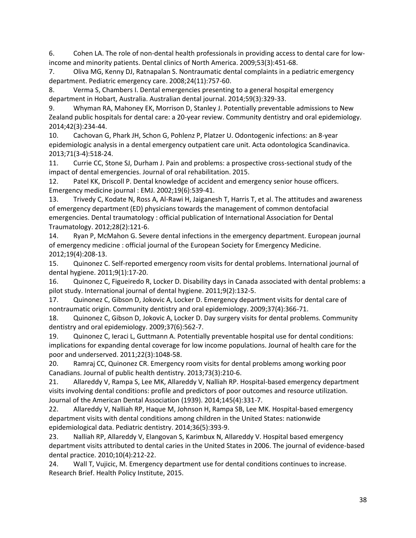6. Cohen LA. The role of non-dental health professionals in providing access to dental care for lowincome and minority patients. Dental clinics of North America. 2009;53(3):451-68.

7. Oliva MG, Kenny DJ, Ratnapalan S. Nontraumatic dental complaints in a pediatric emergency department. Pediatric emergency care. 2008;24(11):757-60.

8. Verma S, Chambers I. Dental emergencies presenting to a general hospital emergency department in Hobart, Australia. Australian dental journal. 2014;59(3):329-33.

9. Whyman RA, Mahoney EK, Morrison D, Stanley J. Potentially preventable admissions to New Zealand public hospitals for dental care: a 20-year review. Community dentistry and oral epidemiology. 2014;42(3):234-44.

10. Cachovan G, Phark JH, Schon G, Pohlenz P, Platzer U. Odontogenic infections: an 8-year epidemiologic analysis in a dental emergency outpatient care unit. Acta odontologica Scandinavica. 2013;71(3-4):518-24.

11. Currie CC, Stone SJ, Durham J. Pain and problems: a prospective cross-sectional study of the impact of dental emergencies. Journal of oral rehabilitation. 2015.

12. Patel KK, Driscoll P. Dental knowledge of accident and emergency senior house officers. Emergency medicine journal : EMJ. 2002;19(6):539-41.

13. Trivedy C, Kodate N, Ross A, Al-Rawi H, Jaiganesh T, Harris T, et al. The attitudes and awareness of emergency department (ED) physicians towards the management of common dentofacial emergencies. Dental traumatology : official publication of International Association for Dental Traumatology. 2012;28(2):121-6.

14. Ryan P, McMahon G. Severe dental infections in the emergency department. European journal of emergency medicine : official journal of the European Society for Emergency Medicine. 2012;19(4):208-13.

15. Quinonez C. Self-reported emergency room visits for dental problems. International journal of dental hygiene. 2011;9(1):17-20.

16. Quinonez C, Figueiredo R, Locker D. Disability days in Canada associated with dental problems: a pilot study. International journal of dental hygiene. 2011;9(2):132-5.

17. Quinonez C, Gibson D, Jokovic A, Locker D. Emergency department visits for dental care of nontraumatic origin. Community dentistry and oral epidemiology. 2009;37(4):366-71.

18. Quinonez C, Gibson D, Jokovic A, Locker D. Day surgery visits for dental problems. Community dentistry and oral epidemiology. 2009;37(6):562-7.

19. Quinonez C, Ieraci L, Guttmann A. Potentially preventable hospital use for dental conditions: implications for expanding dental coverage for low income populations. Journal of health care for the poor and underserved. 2011;22(3):1048-58.

20. Ramraj CC, Quinonez CR. Emergency room visits for dental problems among working poor Canadians. Journal of public health dentistry. 2013;73(3):210-6.

21. Allareddy V, Rampa S, Lee MK, Allareddy V, Nalliah RP. Hospital-based emergency department visits involving dental conditions: profile and predictors of poor outcomes and resource utilization. Journal of the American Dental Association (1939). 2014;145(4):331-7.

22. Allareddy V, Nalliah RP, Haque M, Johnson H, Rampa SB, Lee MK. Hospital-based emergency department visits with dental conditions among children in the United States: nationwide epidemiological data. Pediatric dentistry. 2014;36(5):393-9.

23. Nalliah RP, Allareddy V, Elangovan S, Karimbux N, Allareddy V. Hospital based emergency department visits attributed to dental caries in the United States in 2006. The journal of evidence-based dental practice. 2010;10(4):212-22.

24. Wall T, Vujicic, M. Emergency department use for dental conditions continues to increase. Research Brief. Health Policy Institute, 2015.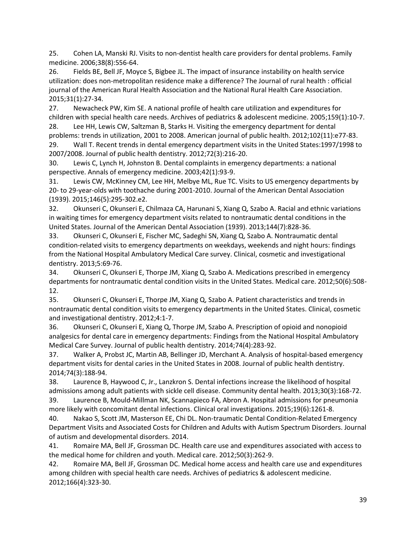25. Cohen LA, Manski RJ. Visits to non-dentist health care providers for dental problems. Family medicine. 2006;38(8):556-64.

26. Fields BE, Bell JF, Moyce S, Bigbee JL. The impact of insurance instability on health service utilization: does non-metropolitan residence make a difference? The Journal of rural health : official journal of the American Rural Health Association and the National Rural Health Care Association. 2015;31(1):27-34.

27. Newacheck PW, Kim SE. A national profile of health care utilization and expenditures for children with special health care needs. Archives of pediatrics & adolescent medicine. 2005;159(1):10-7.

28. Lee HH, Lewis CW, Saltzman B, Starks H. Visiting the emergency department for dental problems: trends in utilization, 2001 to 2008. American journal of public health. 2012;102(11):e77-83. 29. Wall T. Recent trends in dental emergency department visits in the United States:1997/1998 to

2007/2008. Journal of public health dentistry. 2012;72(3):216-20.

30. Lewis C, Lynch H, Johnston B. Dental complaints in emergency departments: a national perspective. Annals of emergency medicine. 2003;42(1):93-9.

31. Lewis CW, McKinney CM, Lee HH, Melbye ML, Rue TC. Visits to US emergency departments by 20- to 29-year-olds with toothache during 2001-2010. Journal of the American Dental Association (1939). 2015;146(5):295-302.e2.

32. Okunseri C, Okunseri E, Chilmaza CA, Harunani S, Xiang Q, Szabo A. Racial and ethnic variations in waiting times for emergency department visits related to nontraumatic dental conditions in the United States. Journal of the American Dental Association (1939). 2013;144(7):828-36.

33. Okunseri C, Okunseri E, Fischer MC, Sadeghi SN, Xiang Q, Szabo A. Nontraumatic dental condition-related visits to emergency departments on weekdays, weekends and night hours: findings from the National Hospital Ambulatory Medical Care survey. Clinical, cosmetic and investigational dentistry. 2013;5:69-76.

34. Okunseri C, Okunseri E, Thorpe JM, Xiang Q, Szabo A. Medications prescribed in emergency departments for nontraumatic dental condition visits in the United States. Medical care. 2012;50(6):508- 12.

35. Okunseri C, Okunseri E, Thorpe JM, Xiang Q, Szabo A. Patient characteristics and trends in nontraumatic dental condition visits to emergency departments in the United States. Clinical, cosmetic and investigational dentistry. 2012;4:1-7.

36. Okunseri C, Okunseri E, Xiang Q, Thorpe JM, Szabo A. Prescription of opioid and nonopioid analgesics for dental care in emergency departments: Findings from the National Hospital Ambulatory Medical Care Survey. Journal of public health dentistry. 2014;74(4):283-92.

37. Walker A, Probst JC, Martin AB, Bellinger JD, Merchant A. Analysis of hospital-based emergency department visits for dental caries in the United States in 2008. Journal of public health dentistry. 2014;74(3):188-94.

38. Laurence B, Haywood C, Jr., Lanzkron S. Dental infections increase the likelihood of hospital admissions among adult patients with sickle cell disease. Community dental health. 2013;30(3):168-72.

39. Laurence B, Mould-Millman NK, Scannapieco FA, Abron A. Hospital admissions for pneumonia more likely with concomitant dental infections. Clinical oral investigations. 2015;19(6):1261-8.

40. Nakao S, Scott JM, Masterson EE, Chi DL. Non-traumatic Dental Condition-Related Emergency Department Visits and Associated Costs for Children and Adults with Autism Spectrum Disorders. Journal of autism and developmental disorders. 2014.

41. Romaire MA, Bell JF, Grossman DC. Health care use and expenditures associated with access to the medical home for children and youth. Medical care. 2012;50(3):262-9.

42. Romaire MA, Bell JF, Grossman DC. Medical home access and health care use and expenditures among children with special health care needs. Archives of pediatrics & adolescent medicine. 2012;166(4):323-30.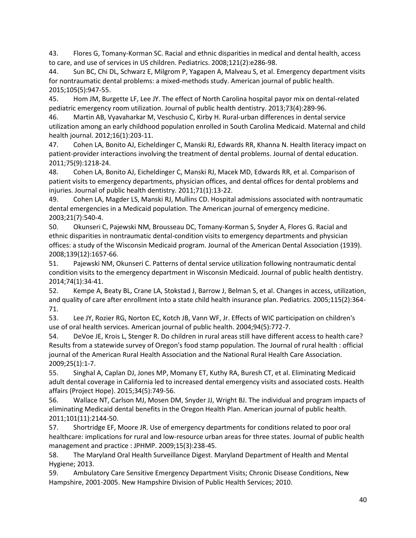43. Flores G, Tomany-Korman SC. Racial and ethnic disparities in medical and dental health, access to care, and use of services in US children. Pediatrics. 2008;121(2):e286-98.

44. Sun BC, Chi DL, Schwarz E, Milgrom P, Yagapen A, Malveau S, et al. Emergency department visits for nontraumatic dental problems: a mixed-methods study. American journal of public health. 2015;105(5):947-55.

45. Hom JM, Burgette LF, Lee JY. The effect of North Carolina hospital payor mix on dental-related pediatric emergency room utilization. Journal of public health dentistry. 2013;73(4):289-96.

46. Martin AB, Vyavaharkar M, Veschusio C, Kirby H. Rural-urban differences in dental service utilization among an early childhood population enrolled in South Carolina Medicaid. Maternal and child health journal. 2012;16(1):203-11.

47. Cohen LA, Bonito AJ, Eicheldinger C, Manski RJ, Edwards RR, Khanna N. Health literacy impact on patient-provider interactions involving the treatment of dental problems. Journal of dental education. 2011;75(9):1218-24.

48. Cohen LA, Bonito AJ, Eicheldinger C, Manski RJ, Macek MD, Edwards RR, et al. Comparison of patient visits to emergency departments, physician offices, and dental offices for dental problems and injuries. Journal of public health dentistry. 2011;71(1):13-22.

49. Cohen LA, Magder LS, Manski RJ, Mullins CD. Hospital admissions associated with nontraumatic dental emergencies in a Medicaid population. The American journal of emergency medicine. 2003;21(7):540-4.

50. Okunseri C, Pajewski NM, Brousseau DC, Tomany-Korman S, Snyder A, Flores G. Racial and ethnic disparities in nontraumatic dental-condition visits to emergency departments and physician offices: a study of the Wisconsin Medicaid program. Journal of the American Dental Association (1939). 2008;139(12):1657-66.

51. Pajewski NM, Okunseri C. Patterns of dental service utilization following nontraumatic dental condition visits to the emergency department in Wisconsin Medicaid. Journal of public health dentistry. 2014;74(1):34-41.

52. Kempe A, Beaty BL, Crane LA, Stokstad J, Barrow J, Belman S, et al. Changes in access, utilization, and quality of care after enrollment into a state child health insurance plan. Pediatrics. 2005;115(2):364- 71.

53. Lee JY, Rozier RG, Norton EC, Kotch JB, Vann WF, Jr. Effects of WIC participation on children's use of oral health services. American journal of public health. 2004;94(5):772-7.

54. DeVoe JE, Krois L, Stenger R. Do children in rural areas still have different access to health care? Results from a statewide survey of Oregon's food stamp population. The Journal of rural health : official journal of the American Rural Health Association and the National Rural Health Care Association. 2009;25(1):1-7.

55. Singhal A, Caplan DJ, Jones MP, Momany ET, Kuthy RA, Buresh CT, et al. Eliminating Medicaid adult dental coverage in California led to increased dental emergency visits and associated costs. Health affairs (Project Hope). 2015;34(5):749-56.

56. Wallace NT, Carlson MJ, Mosen DM, Snyder JJ, Wright BJ. The individual and program impacts of eliminating Medicaid dental benefits in the Oregon Health Plan. American journal of public health. 2011;101(11):2144-50.

57. Shortridge EF, Moore JR. Use of emergency departments for conditions related to poor oral healthcare: implications for rural and low-resource urban areas for three states. Journal of public health management and practice : JPHMP. 2009;15(3):238-45.

58. The Maryland Oral Health Surveillance Digest. Maryland Department of Health and Mental Hygiene; 2013.

59. Ambulatory Care Sensitive Emergency Department Visits; Chronic Disease Conditions, New Hampshire, 2001-2005. New Hampshire Division of Public Health Services; 2010.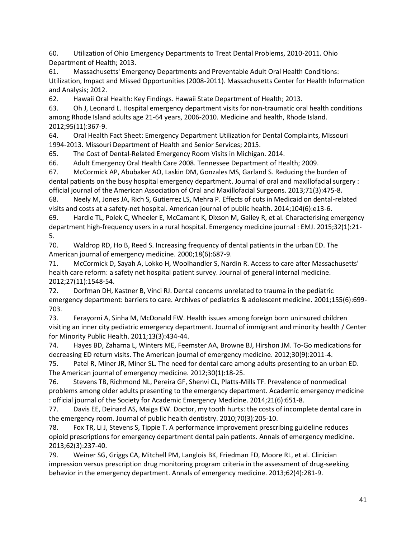60. Utilization of Ohio Emergency Departments to Treat Dental Problems, 2010-2011. Ohio Department of Health; 2013.

61. Massachusetts' Emergency Departments and Preventable Adult Oral Health Conditions: Utilization, Impact and Missed Opportunities (2008-2011). Massachusetts Center for Health Information and Analysis; 2012.

62. Hawaii Oral Health: Key Findings. Hawaii State Department of Health; 2013.

63. Oh J, Leonard L. Hospital emergency department visits for non-traumatic oral health conditions among Rhode Island adults age 21-64 years, 2006-2010. Medicine and health, Rhode Island. 2012;95(11):367-9.

64. Oral Health Fact Sheet: Emergency Department Utilization for Dental Complaints, Missouri 1994-2013. Missouri Department of Health and Senior Services; 2015.

65. The Cost of Dental-Related Emergency Room Visits in Michigan. 2014.

66. Adult Emergency Oral Health Care 2008. Tennessee Department of Health; 2009.

67. McCormick AP, Abubaker AO, Laskin DM, Gonzales MS, Garland S. Reducing the burden of dental patients on the busy hospital emergency department. Journal of oral and maxillofacial surgery : official journal of the American Association of Oral and Maxillofacial Surgeons. 2013;71(3):475-8.

68. Neely M, Jones JA, Rich S, Gutierrez LS, Mehra P. Effects of cuts in Medicaid on dental-related visits and costs at a safety-net hospital. American journal of public health. 2014;104(6):e13-6.

69. Hardie TL, Polek C, Wheeler E, McCamant K, Dixson M, Gailey R, et al. Characterising emergency department high-frequency users in a rural hospital. Emergency medicine journal : EMJ. 2015;32(1):21- 5.

70. Waldrop RD, Ho B, Reed S. Increasing frequency of dental patients in the urban ED. The American journal of emergency medicine. 2000;18(6):687-9.

71. McCormick D, Sayah A, Lokko H, Woolhandler S, Nardin R. Access to care after Massachusetts' health care reform: a safety net hospital patient survey. Journal of general internal medicine. 2012;27(11):1548-54.

72. Dorfman DH, Kastner B, Vinci RJ. Dental concerns unrelated to trauma in the pediatric emergency department: barriers to care. Archives of pediatrics & adolescent medicine. 2001;155(6):699- 703.

73. Ferayorni A, Sinha M, McDonald FW. Health issues among foreign born uninsured children visiting an inner city pediatric emergency department. Journal of immigrant and minority health / Center for Minority Public Health. 2011;13(3):434-44.

74. Hayes BD, Zaharna L, Winters ME, Feemster AA, Browne BJ, Hirshon JM. To-Go medications for decreasing ED return visits. The American journal of emergency medicine. 2012;30(9):2011-4.

75. Patel R, Miner JR, Miner SL. The need for dental care among adults presenting to an urban ED. The American journal of emergency medicine. 2012;30(1):18-25.

76. Stevens TB, Richmond NL, Pereira GF, Shenvi CL, Platts-Mills TF. Prevalence of nonmedical problems among older adults presenting to the emergency department. Academic emergency medicine : official journal of the Society for Academic Emergency Medicine. 2014;21(6):651-8.

77. Davis EE, Deinard AS, Maiga EW. Doctor, my tooth hurts: the costs of incomplete dental care in the emergency room. Journal of public health dentistry. 2010;70(3):205-10.

78. Fox TR, Li J, Stevens S, Tippie T. A performance improvement prescribing guideline reduces opioid prescriptions for emergency department dental pain patients. Annals of emergency medicine. 2013;62(3):237-40.

79. Weiner SG, Griggs CA, Mitchell PM, Langlois BK, Friedman FD, Moore RL, et al. Clinician impression versus prescription drug monitoring program criteria in the assessment of drug-seeking behavior in the emergency department. Annals of emergency medicine. 2013;62(4):281-9.